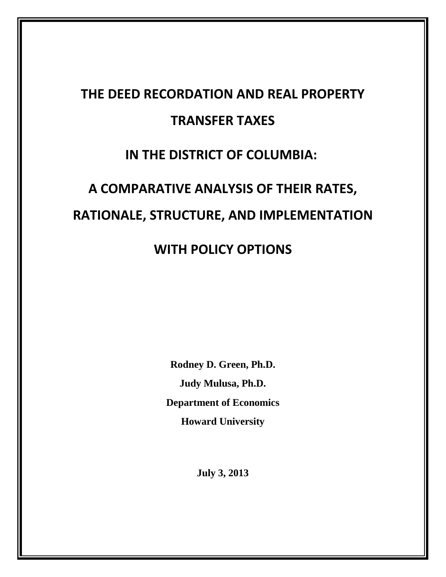# **THE DEED RECORDATION AND REAL PROPERTY TRANSFER TAXES**

# **IN THE DISTRICT OF COLUMBIA:**

# **A COMPARATIVE ANALYSIS OF THEIR RATES, RATIONALE, STRUCTURE, AND IMPLEMENTATION**

# **WITH POLICY OPTIONS**

**Rodney D. Green, Ph.D. Judy Mulusa, Ph.D. Department of Economics Howard University**

**July 3, 2013**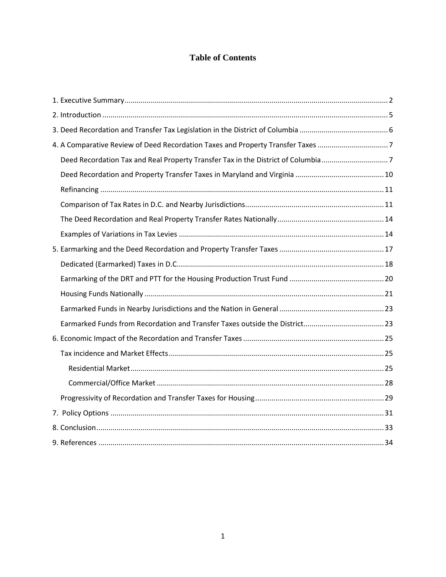# **Table of Contents**

| 4. A Comparative Review of Deed Recordation Taxes and Property Transfer Taxes    |  |
|----------------------------------------------------------------------------------|--|
| Deed Recordation Tax and Real Property Transfer Tax in the District of Columbia7 |  |
|                                                                                  |  |
|                                                                                  |  |
|                                                                                  |  |
|                                                                                  |  |
|                                                                                  |  |
|                                                                                  |  |
|                                                                                  |  |
|                                                                                  |  |
|                                                                                  |  |
|                                                                                  |  |
|                                                                                  |  |
|                                                                                  |  |
|                                                                                  |  |
|                                                                                  |  |
|                                                                                  |  |
|                                                                                  |  |
|                                                                                  |  |
|                                                                                  |  |
|                                                                                  |  |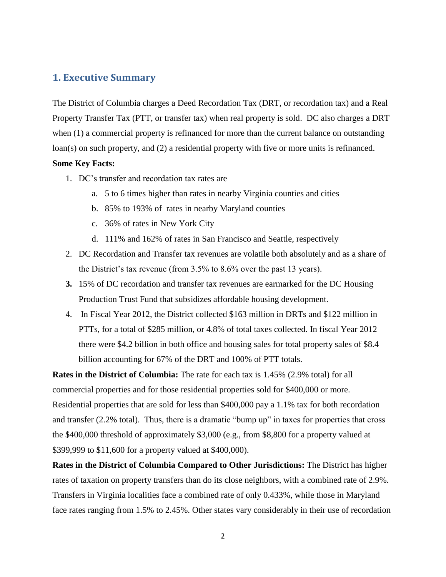# <span id="page-2-0"></span>**1. Executive Summary**

The District of Columbia charges a Deed Recordation Tax (DRT, or recordation tax) and a Real Property Transfer Tax (PTT, or transfer tax) when real property is sold. DC also charges a DRT when (1) a commercial property is refinanced for more than the current balance on outstanding loan(s) on such property, and (2) a residential property with five or more units is refinanced.

#### **Some Key Facts:**

- 1. DC's transfer and recordation tax rates are
	- a. 5 to 6 times higher than rates in nearby Virginia counties and cities
	- b. 85% to 193% of rates in nearby Maryland counties
	- c. 36% of rates in New York City
	- d. 111% and 162% of rates in San Francisco and Seattle, respectively
- 2. DC Recordation and Transfer tax revenues are volatile both absolutely and as a share of the District's tax revenue (from 3.5% to 8.6% over the past 13 years).
- **3.** 15% of DC recordation and transfer tax revenues are earmarked for the DC Housing Production Trust Fund that subsidizes affordable housing development.
- 4. In Fiscal Year 2012, the District collected \$163 million in DRTs and \$122 million in PTTs, for a total of \$285 million, or 4.8% of total taxes collected. In fiscal Year 2012 there were \$4.2 billion in both office and housing sales for total property sales of \$8.4 billion accounting for 67% of the DRT and 100% of PTT totals.

**Rates in the District of Columbia:** The rate for each tax is 1.45% (2.9% total) for all commercial properties and for those residential properties sold for \$400,000 or more. Residential properties that are sold for less than \$400,000 pay a 1.1% tax for both recordation and transfer  $(2.2\% \text{ total})$ . Thus, there is a dramatic "bump up" in taxes for properties that cross the \$400,000 threshold of approximately \$3,000 (e.g., from \$8,800 for a property valued at \$399,999 to \$11,600 for a property valued at \$400,000).

**Rates in the District of Columbia Compared to Other Jurisdictions:** The District has higher rates of taxation on property transfers than do its close neighbors, with a combined rate of 2.9%. Transfers in Virginia localities face a combined rate of only 0.433%, while those in Maryland face rates ranging from 1.5% to 2.45%. Other states vary considerably in their use of recordation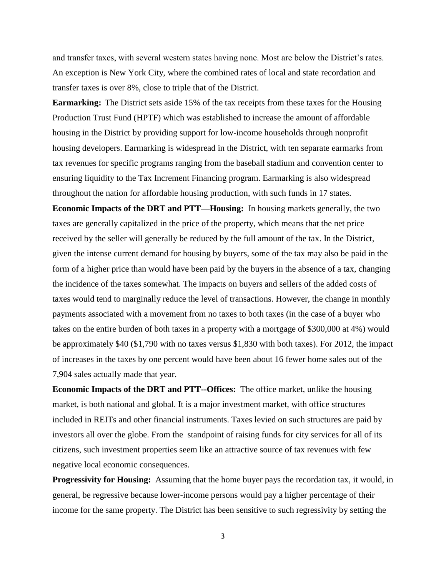and transfer taxes, with several western states having none. Most are below the District's rates. An exception is New York City, where the combined rates of local and state recordation and transfer taxes is over 8%, close to triple that of the District.

**Earmarking:** The District sets aside 15% of the tax receipts from these taxes for the Housing Production Trust Fund (HPTF) which was established to increase the amount of affordable housing in the District by providing support for low-income households through nonprofit housing developers. Earmarking is widespread in the District, with ten separate earmarks from tax revenues for specific programs ranging from the baseball stadium and convention center to ensuring liquidity to the Tax Increment Financing program. Earmarking is also widespread throughout the nation for affordable housing production, with such funds in 17 states.

**Economic Impacts of the DRT and PTT—Housing:** In housing markets generally, the two taxes are generally capitalized in the price of the property, which means that the net price received by the seller will generally be reduced by the full amount of the tax. In the District, given the intense current demand for housing by buyers, some of the tax may also be paid in the form of a higher price than would have been paid by the buyers in the absence of a tax, changing the incidence of the taxes somewhat. The impacts on buyers and sellers of the added costs of taxes would tend to marginally reduce the level of transactions. However, the change in monthly payments associated with a movement from no taxes to both taxes (in the case of a buyer who takes on the entire burden of both taxes in a property with a mortgage of \$300,000 at 4%) would be approximately \$40 (\$1,790 with no taxes versus \$1,830 with both taxes). For 2012, the impact of increases in the taxes by one percent would have been about 16 fewer home sales out of the 7,904 sales actually made that year.

**Economic Impacts of the DRT and PTT--Offices:** The office market, unlike the housing market, is both national and global. It is a major investment market, with office structures included in REITs and other financial instruments. Taxes levied on such structures are paid by investors all over the globe. From the standpoint of raising funds for city services for all of its citizens, such investment properties seem like an attractive source of tax revenues with few negative local economic consequences.

**Progressivity for Housing:** Assuming that the home buyer pays the recordation tax, it would, in general, be regressive because lower-income persons would pay a higher percentage of their income for the same property. The District has been sensitive to such regressivity by setting the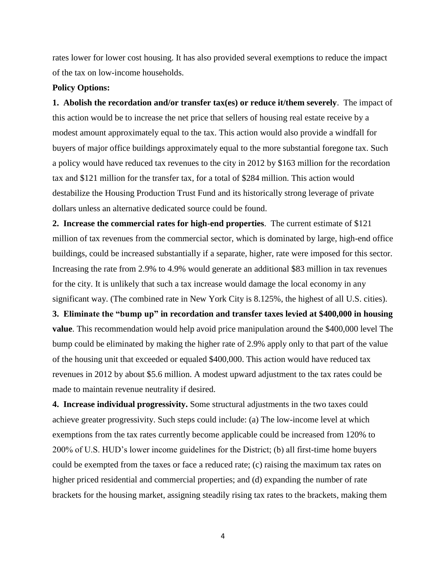rates lower for lower cost housing. It has also provided several exemptions to reduce the impact of the tax on low-income households.

#### **Policy Options:**

**1. Abolish the recordation and/or transfer tax(es) or reduce it/them severely**. The impact of this action would be to increase the net price that sellers of housing real estate receive by a modest amount approximately equal to the tax. This action would also provide a windfall for buyers of major office buildings approximately equal to the more substantial foregone tax. Such a policy would have reduced tax revenues to the city in 2012 by \$163 million for the recordation tax and \$121 million for the transfer tax, for a total of \$284 million. This action would destabilize the Housing Production Trust Fund and its historically strong leverage of private dollars unless an alternative dedicated source could be found.

**2. Increase the commercial rates for high-end properties**. The current estimate of \$121 million of tax revenues from the commercial sector, which is dominated by large, high-end office buildings, could be increased substantially if a separate, higher, rate were imposed for this sector. Increasing the rate from 2.9% to 4.9% would generate an additional \$83 million in tax revenues for the city. It is unlikely that such a tax increase would damage the local economy in any significant way. (The combined rate in New York City is 8.125%, the highest of all U.S. cities).

**3. Eliminate the "bump up" in recordation and transfer taxes levied at \$400,000 in housing value**. This recommendation would help avoid price manipulation around the \$400,000 level The bump could be eliminated by making the higher rate of 2.9% apply only to that part of the value of the housing unit that exceeded or equaled \$400,000. This action would have reduced tax revenues in 2012 by about \$5.6 million. A modest upward adjustment to the tax rates could be made to maintain revenue neutrality if desired.

**4. Increase individual progressivity.** Some structural adjustments in the two taxes could achieve greater progressivity. Such steps could include: (a) The low-income level at which exemptions from the tax rates currently become applicable could be increased from 120% to 200% of U.S. HUD's lower income guidelines for the District; (b) all first-time home buyers could be exempted from the taxes or face a reduced rate; (c) raising the maximum tax rates on higher priced residential and commercial properties; and (d) expanding the number of rate brackets for the housing market, assigning steadily rising tax rates to the brackets, making them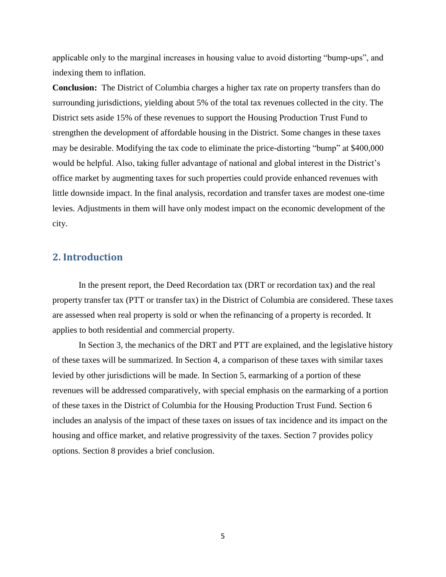applicable only to the marginal increases in housing value to avoid distorting "bump-ups", and indexing them to inflation.

**Conclusion:** The District of Columbia charges a higher tax rate on property transfers than do surrounding jurisdictions, yielding about 5% of the total tax revenues collected in the city. The District sets aside 15% of these revenues to support the Housing Production Trust Fund to strengthen the development of affordable housing in the District. Some changes in these taxes may be desirable. Modifying the tax code to eliminate the price-distorting "bump" at \$400,000 would be helpful. Also, taking fuller advantage of national and global interest in the District's office market by augmenting taxes for such properties could provide enhanced revenues with little downside impact. In the final analysis, recordation and transfer taxes are modest one-time levies. Adjustments in them will have only modest impact on the economic development of the city.

### <span id="page-5-0"></span>**2. Introduction**

In the present report, the Deed Recordation tax (DRT or recordation tax) and the real property transfer tax (PTT or transfer tax) in the District of Columbia are considered. These taxes are assessed when real property is sold or when the refinancing of a property is recorded. It applies to both residential and commercial property.

In Section 3, the mechanics of the DRT and PTT are explained, and the legislative history of these taxes will be summarized. In Section 4, a comparison of these taxes with similar taxes levied by other jurisdictions will be made. In Section 5, earmarking of a portion of these revenues will be addressed comparatively, with special emphasis on the earmarking of a portion of these taxes in the District of Columbia for the Housing Production Trust Fund. Section 6 includes an analysis of the impact of these taxes on issues of tax incidence and its impact on the housing and office market, and relative progressivity of the taxes. Section 7 provides policy options. Section 8 provides a brief conclusion.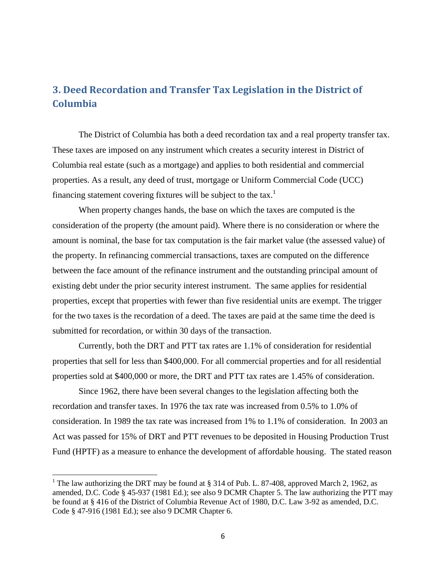# <span id="page-6-0"></span>**3. Deed Recordation and Transfer Tax Legislation in the District of Columbia**

The District of Columbia has both a deed recordation tax and a real property transfer tax. These taxes are imposed on any instrument which creates a security interest in District of Columbia real estate (such as a mortgage) and applies to both residential and commercial properties. As a result, any deed of trust, mortgage or Uniform Commercial Code (UCC) financing statement covering fixtures will be subject to the tax.<sup>1</sup>

When property changes hands, the base on which the taxes are computed is the consideration of the property (the amount paid). Where there is no consideration or where the amount is nominal, the base for tax computation is the fair market value (the assessed value) of the property. In refinancing commercial transactions, taxes are computed on the difference between the face amount of the refinance instrument and the outstanding principal amount of existing debt under the prior security interest instrument. The same applies for residential properties, except that properties with fewer than five residential units are exempt. The trigger for the two taxes is the recordation of a deed. The taxes are paid at the same time the deed is submitted for recordation, or within 30 days of the transaction.

Currently, both the DRT and PTT tax rates are 1.1% of consideration for residential properties that sell for less than \$400,000. For all commercial properties and for all residential properties sold at \$400,000 or more, the DRT and PTT tax rates are 1.45% of consideration.

Since 1962, there have been several changes to the legislation affecting both the recordation and transfer taxes. In 1976 the tax rate was increased from 0.5% to 1.0% of consideration. In 1989 the tax rate was increased from 1% to 1.1% of consideration. In 2003 an Act was passed for 15% of DRT and PTT revenues to be deposited in Housing Production Trust Fund (HPTF) as a measure to enhance the development of affordable housing. The stated reason

 $\overline{\phantom{a}}$ 

<sup>&</sup>lt;sup>1</sup> The law authorizing the DRT may be found at  $\S 314$  of Pub. L. 87-408, approved March 2, 1962, as amended, D.C. Code § 45-937 (1981 Ed.); see also 9 DCMR Chapter 5. The law authorizing the PTT may be found at § 416 of the District of Columbia Revenue Act of 1980, D.C. Law 3-92 as amended, D.C. Code § 47-916 (1981 Ed.); see also 9 DCMR Chapter 6.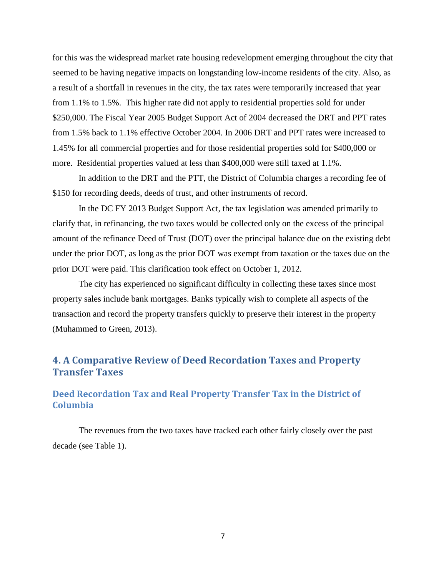for this was the widespread market rate housing redevelopment emerging throughout the city that seemed to be having negative impacts on longstanding low-income residents of the city. Also, as a result of a shortfall in revenues in the city, the tax rates were temporarily increased that year from 1.1% to 1.5%. This higher rate did not apply to residential properties sold for under \$250,000. The Fiscal Year 2005 Budget Support Act of 2004 decreased the DRT and PPT rates from 1.5% back to 1.1% effective October 2004. In 2006 DRT and PPT rates were increased to 1.45% for all commercial properties and for those residential properties sold for \$400,000 or more. Residential properties valued at less than \$400,000 were still taxed at 1.1%.

In addition to the DRT and the PTT, the District of Columbia charges a recording fee of \$150 for recording deeds, deeds of trust, and other instruments of record.

In the DC FY 2013 Budget Support Act, the tax legislation was amended primarily to clarify that, in refinancing, the two taxes would be collected only on the excess of the principal amount of the refinance Deed of Trust (DOT) over the principal balance due on the existing debt under the prior DOT, as long as the prior DOT was exempt from taxation or the taxes due on the prior DOT were paid. This clarification took effect on October 1, 2012.

The city has experienced no significant difficulty in collecting these taxes since most property sales include bank mortgages. Banks typically wish to complete all aspects of the transaction and record the property transfers quickly to preserve their interest in the property (Muhammed to Green, 2013).

# <span id="page-7-0"></span>**4. A Comparative Review of Deed Recordation Taxes and Property Transfer Taxes**

## <span id="page-7-1"></span>**Deed Recordation Tax and Real Property Transfer Tax in the District of Columbia**

The revenues from the two taxes have tracked each other fairly closely over the past decade (see Table 1).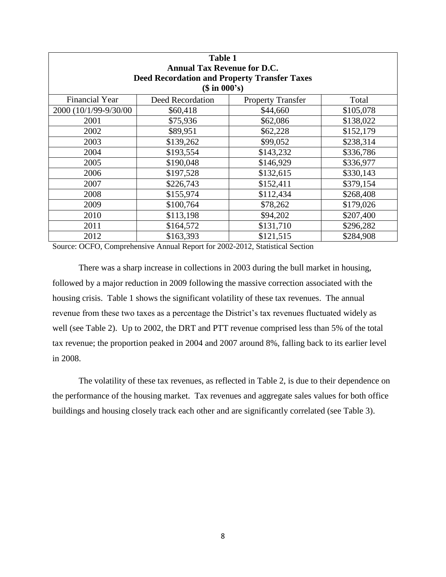| <b>Table 1</b><br><b>Annual Tax Revenue for D.C.</b><br><b>Deed Recordation and Property Transfer Taxes</b> |                  |                          |           |  |
|-------------------------------------------------------------------------------------------------------------|------------------|--------------------------|-----------|--|
|                                                                                                             | (\$in 000's)     |                          |           |  |
| <b>Financial Year</b>                                                                                       | Deed Recordation | <b>Property Transfer</b> | Total     |  |
| 2000 (10/1/99-9/30/00                                                                                       | \$60,418         | \$44,660                 | \$105,078 |  |
| 2001                                                                                                        | \$75,936         | \$62,086                 | \$138,022 |  |
| 2002                                                                                                        | \$89,951         | \$62,228                 | \$152,179 |  |
| 2003                                                                                                        | \$139,262        | \$99,052                 | \$238,314 |  |
| 2004                                                                                                        | \$193,554        | \$143,232                | \$336,786 |  |
| 2005                                                                                                        | \$190,048        | \$146,929                | \$336,977 |  |
| 2006                                                                                                        | \$197,528        | \$132,615                | \$330,143 |  |
| 2007                                                                                                        | \$226,743        | \$152,411                | \$379,154 |  |
| 2008                                                                                                        | \$155,974        | \$112,434                | \$268,408 |  |
| 2009                                                                                                        | \$100,764        | \$78,262                 | \$179,026 |  |
| 2010                                                                                                        | \$113,198        | \$94,202                 | \$207,400 |  |
| 2011                                                                                                        | \$164,572        | \$131,710                | \$296,282 |  |
| 2012                                                                                                        | \$163,393        | \$121,515                | \$284,908 |  |

Source: OCFO, Comprehensive Annual Report for 2002-2012, Statistical Section

There was a sharp increase in collections in 2003 during the bull market in housing, followed by a major reduction in 2009 following the massive correction associated with the housing crisis. Table 1 shows the significant volatility of these tax revenues. The annual revenue from these two taxes as a percentage the District's tax revenues fluctuated widely as well (see Table 2). Up to 2002, the DRT and PTT revenue comprised less than 5% of the total tax revenue; the proportion peaked in 2004 and 2007 around 8%, falling back to its earlier level in 2008.

The volatility of these tax revenues, as reflected in Table 2, is due to their dependence on the performance of the housing market. Tax revenues and aggregate sales values for both office buildings and housing closely track each other and are significantly correlated (see Table 3).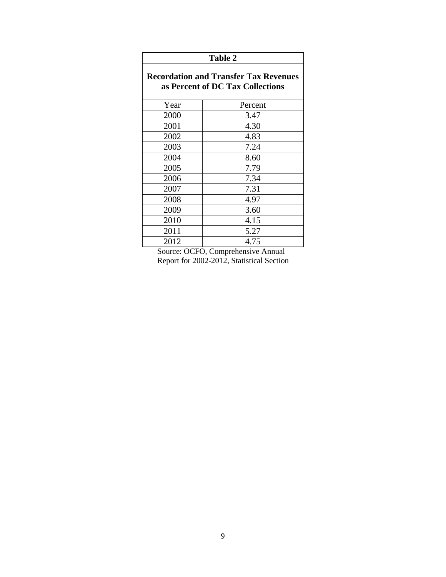| <b>Table 2</b>                                                                   |         |  |
|----------------------------------------------------------------------------------|---------|--|
| <b>Recordation and Transfer Tax Revenues</b><br>as Percent of DC Tax Collections |         |  |
| Year                                                                             | Percent |  |
| 2000                                                                             | 3.47    |  |
| 2001                                                                             | 4.30    |  |
| 2002                                                                             | 4.83    |  |
| 2003                                                                             | 7.24    |  |
| 2004                                                                             | 8.60    |  |
| 2005                                                                             | 7.79    |  |
| 2006                                                                             | 7.34    |  |
| 2007                                                                             | 7.31    |  |
| 2008                                                                             | 4.97    |  |
| 2009                                                                             | 3.60    |  |
| 2010                                                                             | 4.15    |  |
| 2011                                                                             | 5.27    |  |
| 2012                                                                             | 4.75    |  |

Source: OCFO, Comprehensive Annual Report for 2002-2012, Statistical Section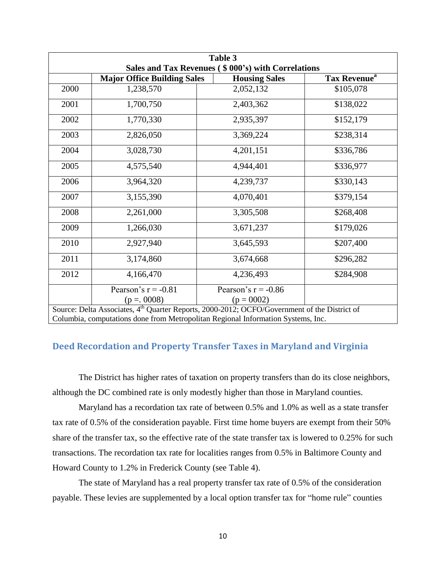| Table 3 |                                                                                                          |                       |                          |  |  |  |
|---------|----------------------------------------------------------------------------------------------------------|-----------------------|--------------------------|--|--|--|
|         | Sales and Tax Revenues (\$000's) with Correlations                                                       |                       |                          |  |  |  |
|         | <b>Major Office Building Sales</b>                                                                       | <b>Housing Sales</b>  | Tax Revenue <sup>a</sup> |  |  |  |
| 2000    | 1,238,570                                                                                                | 2,052,132             | \$105,078                |  |  |  |
| 2001    | 1,700,750                                                                                                | 2,403,362             | \$138,022                |  |  |  |
| 2002    | 1,770,330                                                                                                | 2,935,397             | \$152,179                |  |  |  |
| 2003    | 2,826,050                                                                                                | 3,369,224             | \$238,314                |  |  |  |
| 2004    | 3,028,730                                                                                                | 4,201,151             | \$336,786                |  |  |  |
| 2005    | 4,575,540                                                                                                | 4,944,401             | \$336,977                |  |  |  |
| 2006    | 3,964,320                                                                                                | 4,239,737             | \$330,143                |  |  |  |
| 2007    | 3,155,390                                                                                                | 4,070,401             | \$379,154                |  |  |  |
| 2008    | 2,261,000                                                                                                | 3,305,508             | \$268,408                |  |  |  |
| 2009    | 1,266,030                                                                                                | 3,671,237             | \$179,026                |  |  |  |
| 2010    | 2,927,940                                                                                                | 3,645,593             | \$207,400                |  |  |  |
| 2011    | 3,174,860                                                                                                | 3,674,668             | \$296,282                |  |  |  |
| 2012    | 4,166,470                                                                                                | 4,236,493             | \$284,908                |  |  |  |
|         | Pearson's $r = -0.81$                                                                                    | Pearson's $r = -0.86$ |                          |  |  |  |
|         | $(p = 0.0008)$                                                                                           | $(p = 0002)$          |                          |  |  |  |
|         | Source: Delta Associates, 4 <sup>th</sup> Quarter Reports, 2000-2012; OCFO/Government of the District of |                       |                          |  |  |  |
|         | Columbia, computations done from Metropolitan Regional Information Systems, Inc.                         |                       |                          |  |  |  |

# <span id="page-10-0"></span>**Deed Recordation and Property Transfer Taxes in Maryland and Virginia**

The District has higher rates of taxation on property transfers than do its close neighbors, although the DC combined rate is only modestly higher than those in Maryland counties.

Maryland has a recordation tax rate of between 0.5% and 1.0% as well as a state transfer tax rate of 0.5% of the consideration payable. First time home buyers are exempt from their 50% share of the transfer tax, so the effective rate of the state transfer tax is lowered to 0.25% for such transactions. The recordation tax rate for localities ranges from 0.5% in Baltimore County and Howard County to 1.2% in Frederick County (see Table 4).

The state of Maryland has a real property transfer tax rate of 0.5% of the consideration payable. These levies are supplemented by a local option transfer tax for "home rule" counties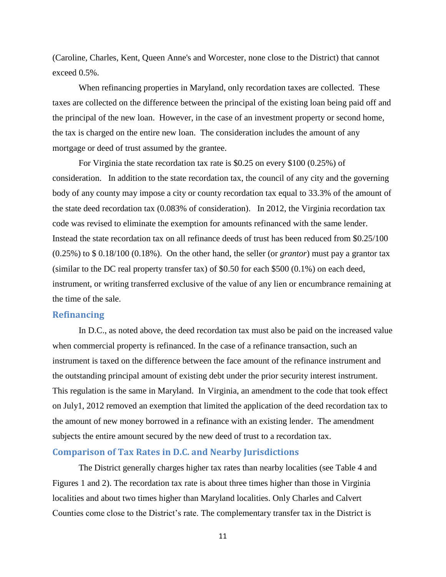(Caroline, Charles, Kent, Queen Anne's and Worcester, none close to the District) that cannot exceed 0.5%.

When refinancing properties in Maryland, only recordation taxes are collected. These taxes are collected on the difference between the principal of the existing loan being paid off and the principal of the new loan. However, in the case of an investment property or second home, the tax is charged on the entire new loan. The consideration includes the amount of any mortgage or deed of trust assumed by the grantee.

For Virginia the state recordation tax rate is \$0.25 on every \$100 (0.25%) of consideration. In addition to the state recordation tax, the council of any city and the governing body of any county may impose a city or county recordation tax equal to 33.3% of the amount of the state deed recordation tax (0.083% of consideration). In 2012, the Virginia recordation tax code was revised to eliminate the exemption for amounts refinanced with the same lender. Instead the state recordation tax on all refinance deeds of trust has been reduced from \$0.25/100 (0.25%) to \$ 0.18/100 (0.18%). On the other hand, the seller (or *grantor*) must pay a grantor tax (similar to the DC real property transfer tax) of \$0.50 for each \$500 (0.1%) on each deed, instrument, or writing transferred exclusive of the value of any lien or encumbrance remaining at the time of the sale.

#### <span id="page-11-0"></span>**Refinancing**

In D.C., as noted above, the deed recordation tax must also be paid on the increased value when commercial property is refinanced. In the case of a refinance transaction, such an instrument is taxed on the difference between the face amount of the refinance instrument and the outstanding principal amount of existing debt under the prior security interest instrument. This regulation is the same in Maryland. In Virginia, an amendment to the code that took effect on July1, 2012 removed an exemption that limited the application of the deed recordation tax to the amount of new money borrowed in a refinance with an existing lender. The amendment subjects the entire amount secured by the new deed of trust to a recordation tax.

#### <span id="page-11-1"></span>**Comparison of Tax Rates in D.C. and Nearby Jurisdictions**

The District generally charges higher tax rates than nearby localities (see Table 4 and Figures 1 and 2). The recordation tax rate is about three times higher than those in Virginia localities and about two times higher than Maryland localities. Only Charles and Calvert Counties come close to the District's rate. The complementary transfer tax in the District is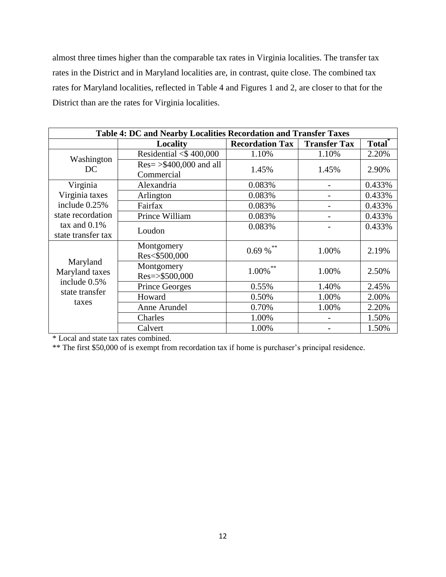almost three times higher than the comparable tax rates in Virginia localities. The transfer tax rates in the District and in Maryland localities are, in contrast, quite close. The combined tax rates for Maryland localities, reflected in Table 4 and Figures 1 and 2, are closer to that for the District than are the rates for Virginia localities.

| Table 4: DC and Nearby Localities Recordation and Transfer Taxes |                                    |                        |                     |                    |  |
|------------------------------------------------------------------|------------------------------------|------------------------|---------------------|--------------------|--|
|                                                                  | Locality                           | <b>Recordation Tax</b> | <b>Transfer Tax</b> | Total <sup>*</sup> |  |
| Washington                                                       | Residential $<$ \$400,000          | 1.10%                  | 1.10%               | 2.20%              |  |
| DC.                                                              | $Res = \frac{5400,000}{8}$ and all | 1.45%                  | 1.45%               | 2.90%              |  |
|                                                                  | Commercial                         |                        |                     |                    |  |
| Virginia                                                         | Alexandria                         | 0.083%                 |                     | 0.433%             |  |
| Virginia taxes                                                   | Arlington                          | 0.083%                 |                     | 0.433%             |  |
| include 0.25%                                                    | Fairfax                            | 0.083%                 |                     | 0.433%             |  |
| state recordation                                                | Prince William                     | 0.083%                 |                     | 0.433%             |  |
| tax and $0.1\%$                                                  | Loudon                             | 0.083%                 |                     | 0.433%             |  |
| state transfer tax                                               |                                    |                        |                     |                    |  |
|                                                                  | Montgomery                         | $0.69\ \%$ **          | 1.00%               | 2.19%              |  |
| Maryland                                                         | Res<\$500,000                      |                        |                     |                    |  |
| Maryland taxes                                                   | Montgomery                         | 1.00%                  | 1.00%               | 2.50%              |  |
| include 0.5%                                                     | Res=>\$500,000                     |                        |                     |                    |  |
| state transfer                                                   | <b>Prince Georges</b>              | 0.55%                  | 1.40%               | 2.45%              |  |
| taxes                                                            | Howard                             | 0.50%                  | 1.00%               | 2.00%              |  |
|                                                                  | Anne Arundel                       | 0.70%                  | 1.00%               | 2.20%              |  |
|                                                                  | Charles                            | 1.00%                  |                     | 1.50%              |  |
|                                                                  | Calvert                            | 1.00%                  |                     | 1.50%              |  |

\* Local and state tax rates combined.

\*\* The first \$50,000 of is exempt from recordation tax if home is purchaser's principal residence.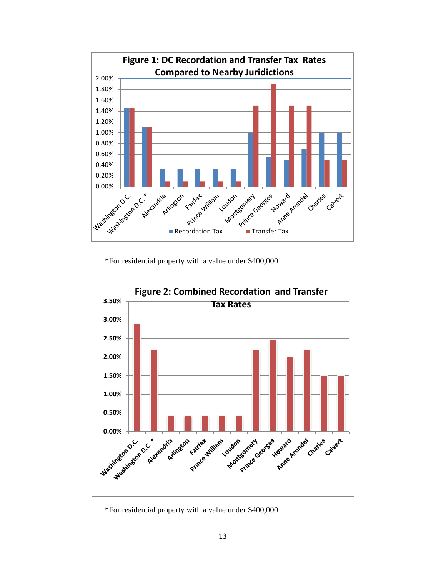

\*For residential property with a value under \$400,000



\*For residential property with a value under \$400,000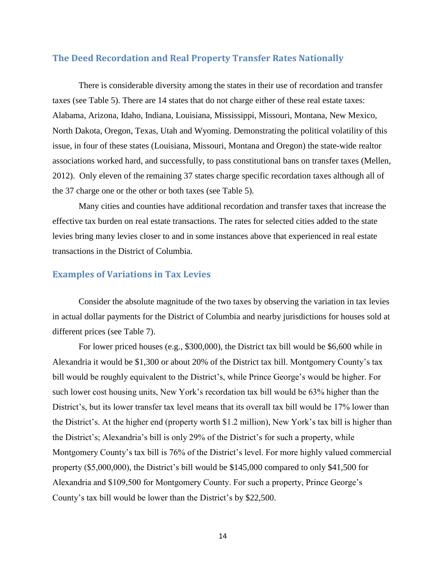#### <span id="page-14-0"></span>**The Deed Recordation and Real Property Transfer Rates Nationally**

There is considerable diversity among the states in their use of recordation and transfer taxes (see Table 5). There are 14 states that do not charge either of these real estate taxes: Alabama, Arizona, Idaho, Indiana, Louisiana, Mississippi, Missouri, Montana, New Mexico, North Dakota, Oregon, Texas, Utah and Wyoming. Demonstrating the political volatility of this issue, in four of these states (Louisiana, Missouri, Montana and Oregon) the state-wide realtor associations worked hard, and successfully, to pass constitutional bans on transfer taxes (Mellen, 2012). Only eleven of the remaining 37 states charge specific recordation taxes although all of the 37 charge one or the other or both taxes (see Table 5).

Many cities and counties have additional recordation and transfer taxes that increase the effective tax burden on real estate transactions. The rates for selected cities added to the state levies bring many levies closer to and in some instances above that experienced in real estate transactions in the District of Columbia.

#### <span id="page-14-1"></span>**Examples of Variations in Tax Levies**

Consider the absolute magnitude of the two taxes by observing the variation in tax levies in actual dollar payments for the District of Columbia and nearby jurisdictions for houses sold at different prices (see Table 7).

For lower priced houses (e.g., \$300,000), the District tax bill would be \$6,600 while in Alexandria it would be \$1,300 or about 20% of the District tax bill. Montgomery County's tax bill would be roughly equivalent to the District's, while Prince George's would be higher. For such lower cost housing units, New York's recordation tax bill would be 63% higher than the District's, but its lower transfer tax level means that its overall tax bill would be 17% lower than the District's. At the higher end (property worth \$1.2 million), New York's tax bill is higher than the District's; Alexandria's bill is only 29% of the District's for such a property, while Montgomery County's tax bill is 76% of the District's level. For more highly valued commercial property (\$5,000,000), the District's bill would be \$145,000 compared to only \$41,500 for Alexandria and \$109,500 for Montgomery County. For such a property, Prince George's County's tax bill would be lower than the District's by \$22,500.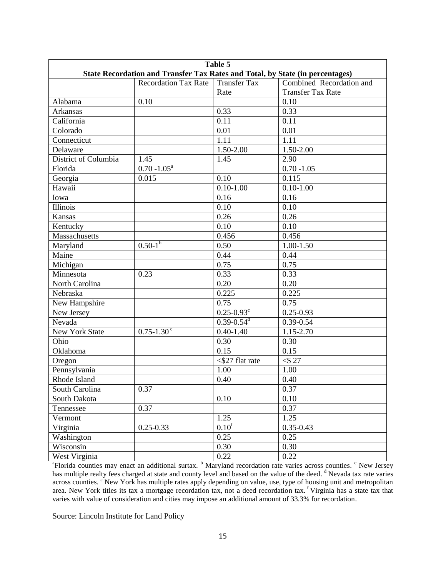| Table 5              |                                                                               |                                   |                          |  |
|----------------------|-------------------------------------------------------------------------------|-----------------------------------|--------------------------|--|
|                      | State Recordation and Transfer Tax Rates and Total, by State (in percentages) |                                   |                          |  |
|                      | <b>Recordation Tax Rate</b>                                                   | <b>Transfer Tax</b>               | Combined Recordation and |  |
|                      |                                                                               | Rate                              | <b>Transfer Tax Rate</b> |  |
| Alabama              | 0.10                                                                          |                                   | 0.10                     |  |
| Arkansas             |                                                                               | 0.33                              | 0.33                     |  |
| California           |                                                                               | 0.11                              | 0.11                     |  |
| Colorado             |                                                                               | 0.01                              | 0.01                     |  |
| Connecticut          |                                                                               | 1.11                              | 1.11                     |  |
| Delaware             |                                                                               | 1.50-2.00                         | 1.50-2.00                |  |
| District of Columbia | 1.45                                                                          | 1.45                              | 2.90                     |  |
| Florida              | $0.70 - 1.05^a$                                                               |                                   | $0.70 - 1.05$            |  |
| Georgia              | 0.015                                                                         | 0.10                              | 0.115                    |  |
| Hawaii               |                                                                               | $0.10 - 1.00$                     | $0.10 - 1.00$            |  |
| Iowa                 |                                                                               | 0.16                              | 0.16                     |  |
| Illinois             |                                                                               | 0.10                              | 0.10                     |  |
| Kansas               |                                                                               | 0.26                              | 0.26                     |  |
| Kentucky             |                                                                               | 0.10                              | 0.10                     |  |
| Massachusetts        |                                                                               | 0.456                             | 0.456                    |  |
| Maryland             | $0.50 - 1^{b}$                                                                | 0.50                              | $1.00 - 1.50$            |  |
| Maine                |                                                                               | 0.44                              | 0.44                     |  |
| Michigan             |                                                                               | 0.75                              | 0.75                     |  |
| Minnesota            | 0.23                                                                          | 0.33                              | 0.33                     |  |
| North Carolina       |                                                                               | 0.20                              | 0.20                     |  |
| Nebraska             |                                                                               | 0.225                             | 0.225                    |  |
| New Hampshire        |                                                                               | 0.75                              | 0.75                     |  |
| New Jersey           |                                                                               | $0.25 - 0.93$ <sup>c</sup>        | $0.25 - 0.93$            |  |
| Nevada               |                                                                               | $0.39 - 0.54$ <sup>d</sup>        | $0.39 - 0.54$            |  |
| New York State       | $0.75 - 1.30$ <sup>e</sup>                                                    | $0.40 - 1.40$                     | 1.15-2.70                |  |
| Ohio                 |                                                                               | 0.30                              | 0.30                     |  |
| Oklahoma             |                                                                               | 0.15                              | 0.15                     |  |
| Oregon               |                                                                               | $\overline{\text{527}}$ flat rate | $<$ \$ 27                |  |
| Pennsylvania         |                                                                               | 1.00                              | 1.00                     |  |
| Rhode Island         |                                                                               | 0.40                              | 0.40                     |  |
| South Carolina       | 0.37                                                                          |                                   | 0.37                     |  |
| South Dakota         |                                                                               | 0.10                              | 0.10                     |  |
| Tennessee            | 0.37                                                                          |                                   | 0.37                     |  |
| Vermont              |                                                                               | 1.25                              | 1.25                     |  |
| Virginia             | $0.25 - 0.33$                                                                 | 0.10 <sup>f</sup>                 | $0.35 - 0.43$            |  |
| Washington           |                                                                               | 0.25                              | 0.25                     |  |
| Wisconsin            |                                                                               | 0.30                              | 0.30                     |  |
|                      |                                                                               |                                   |                          |  |
| West Virginia        |                                                                               | 0.22                              | 0.22                     |  |

<sup>a</sup> Florida counties may enact an additional surtax. <sup>b</sup> Maryland recordation rate varies across counties. <sup>c</sup> New Jersey has multiple realty fees charged at state and county level and based on the value of the deed. <sup>d</sup> Nevada tax rate varies across counties. <sup>e</sup> New York has multiple rates apply depending on value, use, type of housing unit and metropolitan area. New York titles its tax a mortgage recordation tax, not a deed recordation tax. <sup>f</sup> Virginia has a state tax that varies with value of consideration and cities may impose an additional amount of 33.3% for recordation.

Source: Lincoln Institute for Land Policy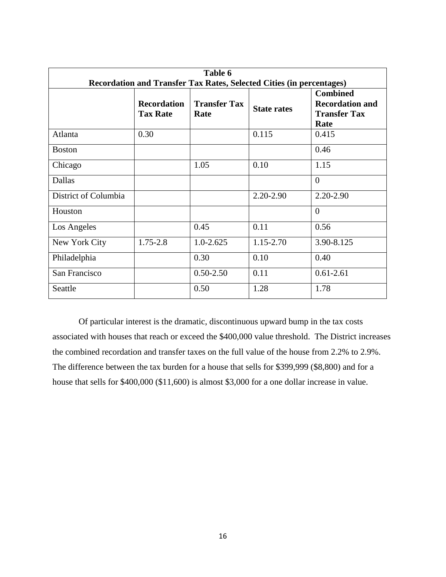| Table 6<br>Recordation and Transfer Tax Rates, Selected Cities (in percentages) |                                       |                             |                    |                                                                          |
|---------------------------------------------------------------------------------|---------------------------------------|-----------------------------|--------------------|--------------------------------------------------------------------------|
|                                                                                 | <b>Recordation</b><br><b>Tax Rate</b> | <b>Transfer Tax</b><br>Rate | <b>State rates</b> | <b>Combined</b><br><b>Recordation and</b><br><b>Transfer Tax</b><br>Rate |
| Atlanta                                                                         | 0.30                                  |                             | 0.115              | 0.415                                                                    |
| <b>Boston</b>                                                                   |                                       |                             |                    | 0.46                                                                     |
| Chicago                                                                         |                                       | 1.05                        | 0.10               | 1.15                                                                     |
| Dallas                                                                          |                                       |                             |                    | $\Omega$                                                                 |
| District of Columbia                                                            |                                       |                             | 2.20-2.90          | 2.20-2.90                                                                |
| Houston                                                                         |                                       |                             |                    | $\Omega$                                                                 |
| Los Angeles                                                                     |                                       | 0.45                        | 0.11               | 0.56                                                                     |
| New York City                                                                   | 1.75-2.8                              | $1.0 - 2.625$               | 1.15-2.70          | 3.90-8.125                                                               |
| Philadelphia                                                                    |                                       | 0.30                        | 0.10               | 0.40                                                                     |
| San Francisco                                                                   |                                       | $0.50 - 2.50$               | 0.11               | $0.61 - 2.61$                                                            |
| Seattle                                                                         |                                       | 0.50                        | 1.28               | 1.78                                                                     |

Of particular interest is the dramatic, discontinuous upward bump in the tax costs associated with houses that reach or exceed the \$400,000 value threshold. The District increases the combined recordation and transfer taxes on the full value of the house from 2.2% to 2.9%. The difference between the tax burden for a house that sells for \$399,999 (\$8,800) and for a house that sells for \$400,000 (\$11,600) is almost \$3,000 for a one dollar increase in value.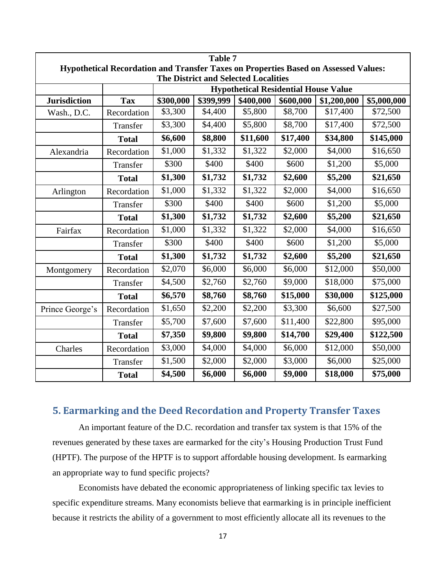|                                                                                            | <b>Table 7</b>                                                                               |         |         |          |          |          |           |
|--------------------------------------------------------------------------------------------|----------------------------------------------------------------------------------------------|---------|---------|----------|----------|----------|-----------|
| Hypothetical Recordation and Transfer Taxes on Properties Based on Assessed Values:        |                                                                                              |         |         |          |          |          |           |
| <b>The District and Selected Localities</b><br><b>Hypothetical Residential House Value</b> |                                                                                              |         |         |          |          |          |           |
| <b>Jurisdiction</b>                                                                        | \$399,999<br>\$300,000<br>\$400,000<br>\$600,000<br>\$5,000,000<br><b>Tax</b><br>\$1,200,000 |         |         |          |          |          |           |
| Wash., D.C.                                                                                | Recordation                                                                                  | \$3,300 | \$4,400 | \$5,800  | \$8,700  | \$17,400 | \$72,500  |
|                                                                                            | Transfer                                                                                     | \$3,300 | \$4,400 | \$5,800  | \$8,700  | \$17,400 | \$72,500  |
|                                                                                            | <b>Total</b>                                                                                 | \$6,600 | \$8,800 | \$11,600 | \$17,400 | \$34,800 | \$145,000 |
| Alexandria                                                                                 | Recordation                                                                                  | \$1,000 | \$1,332 | \$1,322  | \$2,000  | \$4,000  | \$16,650  |
|                                                                                            | Transfer                                                                                     | \$300   | \$400   | \$400    | \$600    | \$1,200  | \$5,000   |
|                                                                                            | <b>Total</b>                                                                                 | \$1,300 | \$1,732 | \$1,732  | \$2,600  | \$5,200  | \$21,650  |
| Arlington                                                                                  | Recordation                                                                                  | \$1,000 | \$1,332 | \$1,322  | \$2,000  | \$4,000  | \$16,650  |
|                                                                                            | Transfer                                                                                     | \$300   | \$400   | \$400    | \$600    | \$1,200  | \$5,000   |
|                                                                                            | <b>Total</b>                                                                                 | \$1,300 | \$1,732 | \$1,732  | \$2,600  | \$5,200  | \$21,650  |
| Fairfax                                                                                    | Recordation                                                                                  | \$1,000 | \$1,332 | \$1,322  | \$2,000  | \$4,000  | \$16,650  |
|                                                                                            | Transfer                                                                                     | \$300   | \$400   | \$400    | \$600    | \$1,200  | \$5,000   |
|                                                                                            | <b>Total</b>                                                                                 | \$1,300 | \$1,732 | \$1,732  | \$2,600  | \$5,200  | \$21,650  |
| Montgomery                                                                                 | Recordation                                                                                  | \$2,070 | \$6,000 | \$6,000  | \$6,000  | \$12,000 | \$50,000  |
|                                                                                            | Transfer                                                                                     | \$4,500 | \$2,760 | \$2,760  | \$9,000  | \$18,000 | \$75,000  |
|                                                                                            | <b>Total</b>                                                                                 | \$6,570 | \$8,760 | \$8,760  | \$15,000 | \$30,000 | \$125,000 |
| Prince George's                                                                            | Recordation                                                                                  | \$1,650 | \$2,200 | \$2,200  | \$3,300  | \$6,600  | \$27,500  |
|                                                                                            | Transfer                                                                                     | \$5,700 | \$7,600 | \$7,600  | \$11,400 | \$22,800 | \$95,000  |
|                                                                                            | <b>Total</b>                                                                                 | \$7,350 | \$9,800 | \$9,800  | \$14,700 | \$29,400 | \$122,500 |
| Charles                                                                                    | Recordation                                                                                  | \$3,000 | \$4,000 | \$4,000  | \$6,000  | \$12,000 | \$50,000  |
|                                                                                            | Transfer                                                                                     | \$1,500 | \$2,000 | \$2,000  | \$3,000  | \$6,000  | \$25,000  |
|                                                                                            | <b>Total</b>                                                                                 | \$4,500 | \$6,000 | \$6,000  | \$9,000  | \$18,000 | \$75,000  |

# <span id="page-17-0"></span>**5. Earmarking and the Deed Recordation and Property Transfer Taxes**

An important feature of the D.C. recordation and transfer tax system is that 15% of the revenues generated by these taxes are earmarked for the city's Housing Production Trust Fund (HPTF). The purpose of the HPTF is to support affordable housing development. Is earmarking an appropriate way to fund specific projects?

Economists have debated the economic appropriateness of linking specific tax levies to specific expenditure streams. Many economists believe that earmarking is in principle inefficient because it restricts the ability of a government to most efficiently allocate all its revenues to the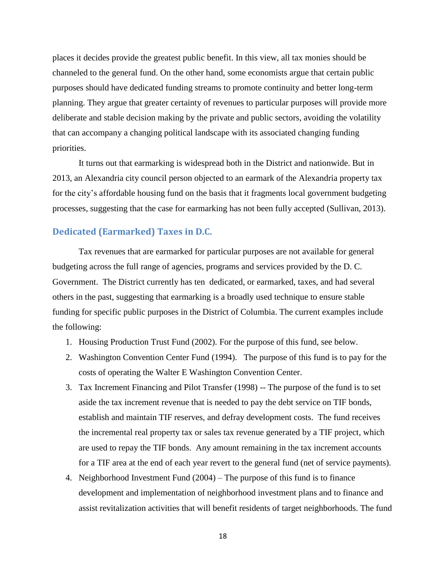places it decides provide the greatest public benefit. In this view, all tax monies should be channeled to the general fund. On the other hand, some economists argue that certain public purposes should have dedicated funding streams to promote continuity and better long-term planning. They argue that greater certainty of revenues to particular purposes will provide more deliberate and stable decision making by the private and public sectors, avoiding the volatility that can accompany a changing political landscape with its associated changing funding priorities.

It turns out that earmarking is widespread both in the District and nationwide. But in 2013, an Alexandria city council person objected to an earmark of the Alexandria property tax for the city's affordable housing fund on the basis that it fragments local government budgeting processes, suggesting that the case for earmarking has not been fully accepted (Sullivan, 2013).

#### <span id="page-18-0"></span>**Dedicated (Earmarked) Taxes in D.C.**

Tax revenues that are earmarked for particular purposes are not available for general budgeting across the full range of agencies, programs and services provided by the D. C. Government. The District currently has ten dedicated, or earmarked, taxes, and had several others in the past, suggesting that earmarking is a broadly used technique to ensure stable funding for specific public purposes in the District of Columbia. The current examples include the following:

- 1. Housing Production Trust Fund (2002). For the purpose of this fund, see below.
- 2. Washington Convention Center Fund (1994). The purpose of this fund is to pay for the costs of operating the Walter E Washington Convention Center.
- 3. Tax Increment Financing and Pilot Transfer (1998) -- The purpose of the fund is to set aside the tax increment revenue that is needed to pay the debt service on TIF bonds, establish and maintain TIF reserves, and defray development costs. The fund receives the incremental real property tax or sales tax revenue generated by a TIF project, which are used to repay the TIF bonds. Any amount remaining in the tax increment accounts for a TIF area at the end of each year revert to the general fund (net of service payments).
- 4. Neighborhood Investment Fund (2004) The purpose of this fund is to finance development and implementation of neighborhood investment plans and to finance and assist revitalization activities that will benefit residents of target neighborhoods. The fund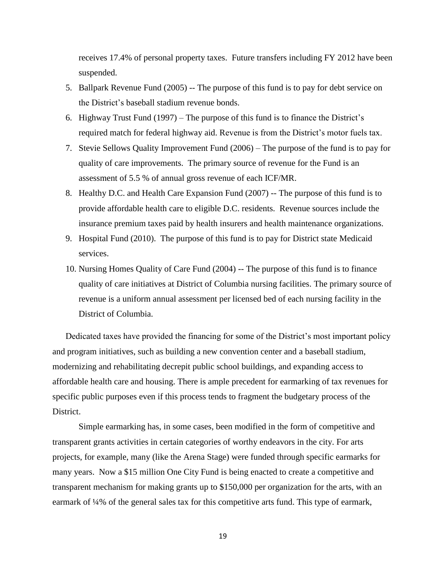receives 17.4% of personal property taxes. Future transfers including FY 2012 have been suspended.

- 5. Ballpark Revenue Fund (2005) -- The purpose of this fund is to pay for debt service on the District's baseball stadium revenue bonds.
- 6. Highway Trust Fund (1997) The purpose of this fund is to finance the District's required match for federal highway aid. Revenue is from the District's motor fuels tax.
- 7. Stevie Sellows Quality Improvement Fund (2006) The purpose of the fund is to pay for quality of care improvements. The primary source of revenue for the Fund is an assessment of 5.5 % of annual gross revenue of each ICF/MR.
- 8. Healthy D.C. and Health Care Expansion Fund (2007) -- The purpose of this fund is to provide affordable health care to eligible D.C. residents. Revenue sources include the insurance premium taxes paid by health insurers and health maintenance organizations.
- 9. Hospital Fund (2010). The purpose of this fund is to pay for District state Medicaid services.
- 10. Nursing Homes Quality of Care Fund (2004) -- The purpose of this fund is to finance quality of care initiatives at District of Columbia nursing facilities. The primary source of revenue is a uniform annual assessment per licensed bed of each nursing facility in the District of Columbia.

Dedicated taxes have provided the financing for some of the District's most important policy and program initiatives, such as building a new convention center and a baseball stadium, modernizing and rehabilitating decrepit public school buildings, and expanding access to affordable health care and housing. There is ample precedent for earmarking of tax revenues for specific public purposes even if this process tends to fragment the budgetary process of the District.

Simple earmarking has, in some cases, been modified in the form of competitive and transparent grants activities in certain categories of worthy endeavors in the city. For arts projects, for example, many (like the Arena Stage) were funded through specific earmarks for many years. Now a \$15 million One City Fund is being enacted to create a competitive and transparent mechanism for making grants up to \$150,000 per organization for the arts, with an earmark of ¼% of the general sales tax for this competitive arts fund. This type of earmark,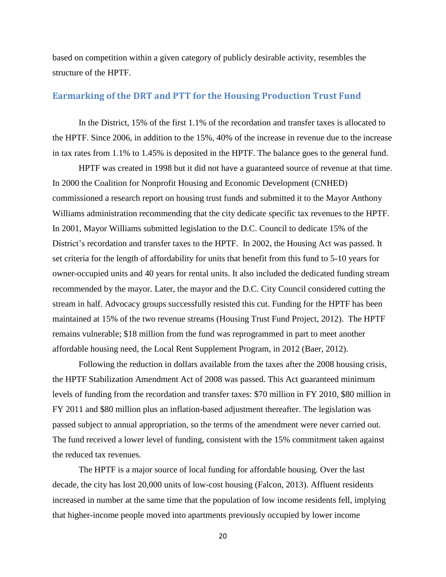based on competition within a given category of publicly desirable activity, resembles the structure of the HPTF.

# <span id="page-20-0"></span>**Earmarking of the DRT and PTT for the Housing Production Trust Fund**

In the District, 15% of the first 1.1% of the recordation and transfer taxes is allocated to the HPTF. Since 2006, in addition to the 15%, 40% of the increase in revenue due to the increase in tax rates from 1.1% to 1.45% is deposited in the HPTF. The balance goes to the general fund.

HPTF was created in 1998 but it did not have a guaranteed source of revenue at that time. In 2000 the Coalition for Nonprofit Housing and Economic Development (CNHED) commissioned a research report on housing trust funds and submitted it to the Mayor Anthony Williams administration recommending that the city dedicate specific tax revenues to the HPTF. In 2001, Mayor Williams submitted legislation to the D.C. Council to dedicate 15% of the District's recordation and transfer taxes to the HPTF. In 2002, the Housing Act was passed. It set criteria for the length of affordability for units that benefit from this fund to 5-10 years for owner-occupied units and 40 years for rental units. It also included the dedicated funding stream recommended by the mayor. Later, the mayor and the D.C. City Council considered cutting the stream in half. Advocacy groups successfully resisted this cut. Funding for the HPTF has been maintained at 15% of the two revenue streams (Housing Trust Fund Project, 2012). The HPTF remains vulnerable; \$18 million from the fund was reprogrammed in part to meet another affordable housing need, the Local Rent Supplement Program, in 2012 (Baer, 2012).

Following the reduction in dollars available from the taxes after the 2008 housing crisis, the HPTF Stabilization Amendment Act of 2008 was passed. This Act guaranteed minimum levels of funding from the recordation and transfer taxes: \$70 million in FY 2010, \$80 million in FY 2011 and \$80 million plus an inflation-based adjustment thereafter. The legislation was passed subject to annual appropriation, so the terms of the amendment were never carried out. The fund received a lower level of funding, consistent with the 15% commitment taken against the reduced tax revenues.

The HPTF is a major source of local funding for affordable housing. Over the last decade, the city has lost 20,000 units of low-cost housing (Falcon, 2013). Affluent residents increased in number at the same time that the population of low income residents fell, implying that higher-income people moved into apartments previously occupied by lower income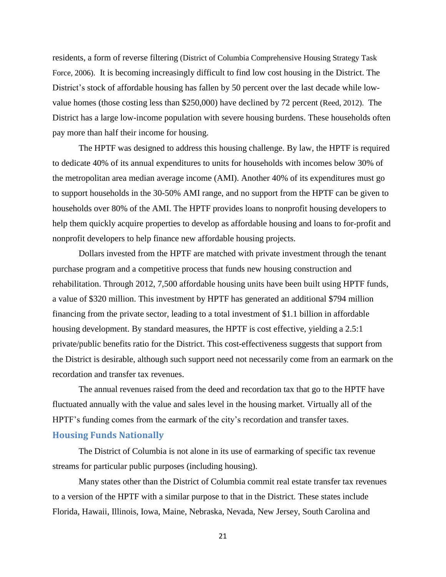residents, a form of reverse filtering (District of Columbia Comprehensive Housing Strategy Task Force, 2006). It is becoming increasingly difficult to find low cost housing in the District. The District's stock of affordable housing has fallen by 50 percent over the last decade while lowvalue homes (those costing less than \$250,000) have declined by 72 percent (Reed, 2012). The District has a large low-income population with severe housing burdens. These households often pay more than half their income for housing.

The HPTF was designed to address this housing challenge. By law, the HPTF is required to dedicate 40% of its annual expenditures to units for households with incomes below 30% of the metropolitan area median average income (AMI). Another 40% of its expenditures must go to support households in the 30-50% AMI range, and no support from the HPTF can be given to households over 80% of the AMI. The HPTF provides loans to nonprofit housing developers to help them quickly acquire properties to develop as affordable housing and loans to for-profit and nonprofit developers to help finance new affordable housing projects.

Dollars invested from the HPTF are matched with private investment through the tenant purchase program and a competitive process that funds new housing construction and rehabilitation. Through 2012, 7,500 affordable housing units have been built using HPTF funds, a value of \$320 million. This investment by HPTF has generated an additional \$794 million financing from the private sector, leading to a total investment of \$1.1 billion in affordable housing development. By standard measures, the HPTF is cost effective, yielding a 2.5:1 private/public benefits ratio for the District. This cost-effectiveness suggests that support from the District is desirable, although such support need not necessarily come from an earmark on the recordation and transfer tax revenues.

The annual revenues raised from the deed and recordation tax that go to the HPTF have fluctuated annually with the value and sales level in the housing market. Virtually all of the HPTF's funding comes from the earmark of the city's recordation and transfer taxes.

# <span id="page-21-0"></span>**Housing Funds Nationally**

The District of Columbia is not alone in its use of earmarking of specific tax revenue streams for particular public purposes (including housing).

Many states other than the District of Columbia commit real estate transfer tax revenues to a version of the HPTF with a similar purpose to that in the District. These states include Florida, Hawaii, Illinois, Iowa, Maine, Nebraska, Nevada, New Jersey, South Carolina and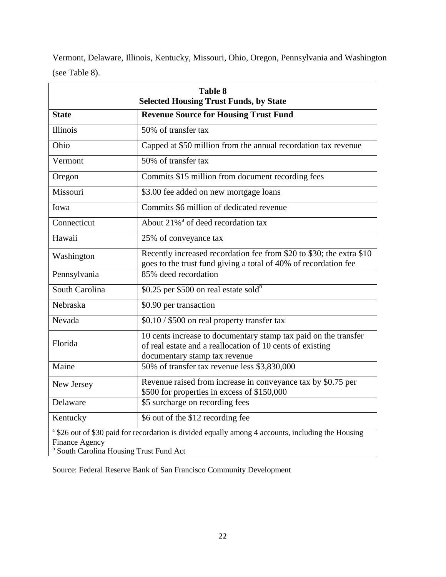Vermont, Delaware, Illinois, Kentucky, Missouri, Ohio, Oregon, Pennsylvania and Washington (see Table 8).

| <b>Table 8</b><br><b>Selected Housing Trust Funds, by State</b>                                                                                                                              |                                                                                                                                                               |  |  |
|----------------------------------------------------------------------------------------------------------------------------------------------------------------------------------------------|---------------------------------------------------------------------------------------------------------------------------------------------------------------|--|--|
| <b>State</b>                                                                                                                                                                                 | <b>Revenue Source for Housing Trust Fund</b>                                                                                                                  |  |  |
| <b>Illinois</b>                                                                                                                                                                              | 50% of transfer tax                                                                                                                                           |  |  |
| Ohio                                                                                                                                                                                         | Capped at \$50 million from the annual recordation tax revenue                                                                                                |  |  |
| Vermont                                                                                                                                                                                      | 50% of transfer tax                                                                                                                                           |  |  |
| Oregon                                                                                                                                                                                       | Commits \$15 million from document recording fees                                                                                                             |  |  |
| Missouri                                                                                                                                                                                     | \$3.00 fee added on new mortgage loans                                                                                                                        |  |  |
| Iowa                                                                                                                                                                                         | Commits \$6 million of dedicated revenue                                                                                                                      |  |  |
| Connecticut                                                                                                                                                                                  | About 21% <sup>ª</sup> of deed recordation tax                                                                                                                |  |  |
| Hawaii                                                                                                                                                                                       | 25% of conveyance tax                                                                                                                                         |  |  |
| Washington                                                                                                                                                                                   | Recently increased recordation fee from \$20 to \$30; the extra \$10<br>goes to the trust fund giving a total of 40% of recordation fee                       |  |  |
| Pennsylvania                                                                                                                                                                                 | 85% deed recordation                                                                                                                                          |  |  |
| South Carolina                                                                                                                                                                               | \$0.25 per \$500 on real estate sold <sup>b</sup>                                                                                                             |  |  |
| Nebraska                                                                                                                                                                                     | \$0.90 per transaction                                                                                                                                        |  |  |
| Nevada                                                                                                                                                                                       | \$0.10 / \$500 on real property transfer tax                                                                                                                  |  |  |
| Florida                                                                                                                                                                                      | 10 cents increase to documentary stamp tax paid on the transfer<br>of real estate and a reallocation of 10 cents of existing<br>documentary stamp tax revenue |  |  |
| Maine                                                                                                                                                                                        | 50% of transfer tax revenue less \$3,830,000                                                                                                                  |  |  |
| New Jersey                                                                                                                                                                                   | Revenue raised from increase in conveyance tax by $\sqrt[5]{80.75}$ per<br>\$500 for properties in excess of \$150,000                                        |  |  |
| Delaware                                                                                                                                                                                     | \$5 surcharge on recording fees                                                                                                                               |  |  |
| Kentucky                                                                                                                                                                                     | \$6 out of the \$12 recording fee                                                                                                                             |  |  |
| <sup>a</sup> \$26 out of \$30 paid for recordation is divided equally among 4 accounts, including the Housing<br><b>Finance Agency</b><br><sup>b</sup> South Carolina Housing Trust Fund Act |                                                                                                                                                               |  |  |

Source: Federal Reserve Bank of San Francisco Community Development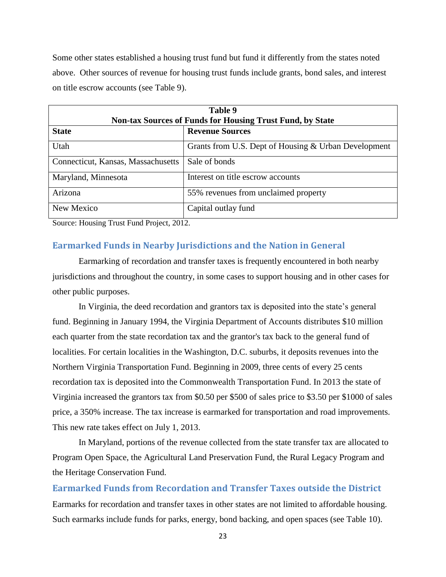Some other states established a housing trust fund but fund it differently from the states noted above. Other sources of revenue for housing trust funds include grants, bond sales, and interest on title escrow accounts (see Table 9).

| Table 9<br><b>Non-tax Sources of Funds for Housing Trust Fund, by State</b> |                                                      |  |  |
|-----------------------------------------------------------------------------|------------------------------------------------------|--|--|
| <b>State</b>                                                                | <b>Revenue Sources</b>                               |  |  |
| Utah                                                                        | Grants from U.S. Dept of Housing & Urban Development |  |  |
| Connecticut, Kansas, Massachusetts                                          | Sale of bonds                                        |  |  |
| Maryland, Minnesota                                                         | Interest on title escrow accounts                    |  |  |
| Arizona                                                                     | 55% revenues from unclaimed property                 |  |  |
| New Mexico                                                                  | Capital outlay fund                                  |  |  |

Source: Housing Trust Fund Project, 2012.

#### <span id="page-23-0"></span>**Earmarked Funds in Nearby Jurisdictions and the Nation in General**

Earmarking of recordation and transfer taxes is frequently encountered in both nearby jurisdictions and throughout the country, in some cases to support housing and in other cases for other public purposes.

In Virginia, the deed recordation and grantors tax is deposited into the state's general fund. Beginning in January 1994, the Virginia Department of Accounts distributes \$10 million each quarter from the state recordation tax and the grantor's tax back to the general fund of localities. For certain localities in the Washington, D.C. suburbs, it deposits revenues into the Northern Virginia Transportation Fund. Beginning in 2009, three cents of every 25 cents recordation tax is deposited into the Commonwealth Transportation Fund. In 2013 the state of Virginia increased the grantors tax from \$0.50 per \$500 of sales price to \$3.50 per \$1000 of sales price, a 350% increase. The tax increase is earmarked for transportation and road improvements. This new rate takes effect on July 1, 2013.

In Maryland, portions of the revenue collected from the state transfer tax are allocated to Program Open Space, the Agricultural Land Preservation Fund, the Rural Legacy Program and the Heritage Conservation Fund.

<span id="page-23-1"></span>**Earmarked Funds from Recordation and Transfer Taxes outside the District** Earmarks for recordation and transfer taxes in other states are not limited to affordable housing. Such earmarks include funds for parks, energy, bond backing, and open spaces (see Table 10).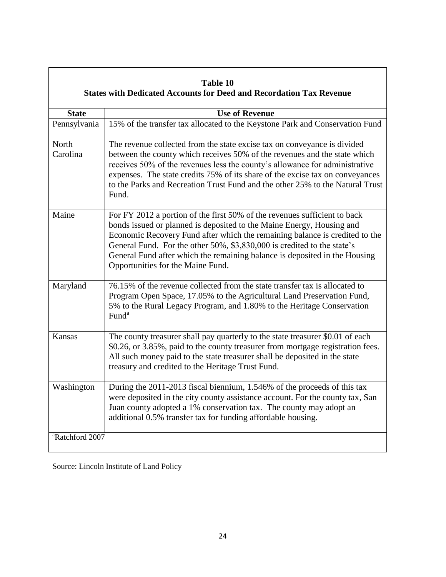|                             | Table 10<br><b>States with Dedicated Accounts for Deed and Recordation Tax Revenue</b>                                                                                                                                                                                                                                                                                                                                          |
|-----------------------------|---------------------------------------------------------------------------------------------------------------------------------------------------------------------------------------------------------------------------------------------------------------------------------------------------------------------------------------------------------------------------------------------------------------------------------|
| <b>State</b>                | <b>Use of Revenue</b>                                                                                                                                                                                                                                                                                                                                                                                                           |
| Pennsylvania                | 15% of the transfer tax allocated to the Keystone Park and Conservation Fund                                                                                                                                                                                                                                                                                                                                                    |
| North<br>Carolina           | The revenue collected from the state excise tax on conveyance is divided<br>between the county which receives 50% of the revenues and the state which<br>receives 50% of the revenues less the county's allowance for administrative<br>expenses. The state credits 75% of its share of the excise tax on conveyances<br>to the Parks and Recreation Trust Fund and the other 25% to the Natural Trust<br>Fund.                 |
| Maine                       | For FY 2012 a portion of the first 50% of the revenues sufficient to back<br>bonds issued or planned is deposited to the Maine Energy, Housing and<br>Economic Recovery Fund after which the remaining balance is credited to the<br>General Fund. For the other 50%, \$3,830,000 is credited to the state's<br>General Fund after which the remaining balance is deposited in the Housing<br>Opportunities for the Maine Fund. |
| Maryland                    | 76.15% of the revenue collected from the state transfer tax is allocated to<br>Program Open Space, 17.05% to the Agricultural Land Preservation Fund,<br>5% to the Rural Legacy Program, and 1.80% to the Heritage Conservation<br>Fund <sup>a</sup>                                                                                                                                                                            |
| Kansas                      | The county treasurer shall pay quarterly to the state treasurer \$0.01 of each<br>\$0.26, or 3.85%, paid to the county treasurer from mortgage registration fees.<br>All such money paid to the state treasurer shall be deposited in the state<br>treasury and credited to the Heritage Trust Fund.                                                                                                                            |
| Washington                  | During the 2011-2013 fiscal biennium, 1.546% of the proceeds of this tax<br>were deposited in the city county assistance account. For the county tax, San<br>Juan county adopted a 1% conservation tax. The county may adopt an<br>additional 0.5% transfer tax for funding affordable housing.                                                                                                                                 |
| <sup>a</sup> Ratchford 2007 |                                                                                                                                                                                                                                                                                                                                                                                                                                 |

Source: Lincoln Institute of Land Policy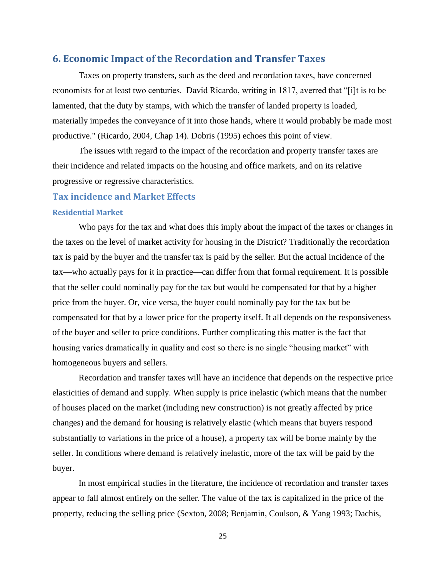#### <span id="page-25-0"></span>**6. Economic Impact of the Recordation and Transfer Taxes**

Taxes on property transfers, such as the deed and recordation taxes, have concerned economists for at least two centuries. David Ricardo, writing in 1817, averred that "[i]t is to be lamented, that the duty by stamps, with which the transfer of landed property is loaded, materially impedes the conveyance of it into those hands, where it would probably be made most productive." (Ricardo, 2004, Chap 14). Dobris (1995) echoes this point of view.

The issues with regard to the impact of the recordation and property transfer taxes are their incidence and related impacts on the housing and office markets, and on its relative progressive or regressive characteristics.

#### <span id="page-25-1"></span>**Tax incidence and Market Effects**

#### <span id="page-25-2"></span>**Residential Market**

Who pays for the tax and what does this imply about the impact of the taxes or changes in the taxes on the level of market activity for housing in the District? Traditionally the recordation tax is paid by the buyer and the transfer tax is paid by the seller. But the actual incidence of the tax—who actually pays for it in practice—can differ from that formal requirement. It is possible that the seller could nominally pay for the tax but would be compensated for that by a higher price from the buyer. Or, vice versa, the buyer could nominally pay for the tax but be compensated for that by a lower price for the property itself. It all depends on the responsiveness of the buyer and seller to price conditions. Further complicating this matter is the fact that housing varies dramatically in quality and cost so there is no single "housing market" with homogeneous buyers and sellers.

Recordation and transfer taxes will have an incidence that depends on the respective price elasticities of demand and supply. When supply is price inelastic (which means that the number of houses placed on the market (including new construction) is not greatly affected by price changes) and the demand for housing is relatively elastic (which means that buyers respond substantially to variations in the price of a house), a property tax will be borne mainly by the seller. In conditions where demand is relatively inelastic, more of the tax will be paid by the buyer.

In most empirical studies in the literature, the incidence of recordation and transfer taxes appear to fall almost entirely on the seller. The value of the tax is capitalized in the price of the property, reducing the selling price (Sexton, 2008; Benjamin, Coulson, & Yang 1993; Dachis,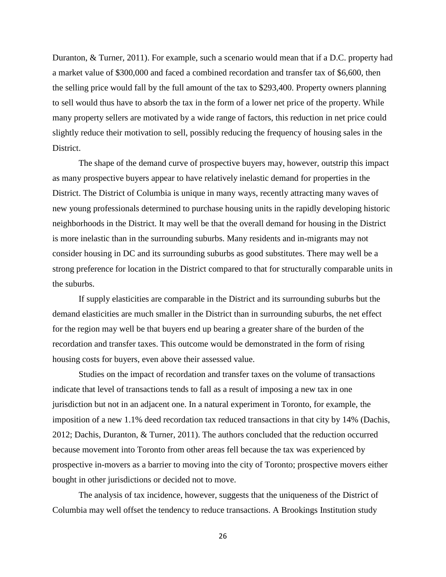Duranton, & Turner, 2011). For example, such a scenario would mean that if a D.C. property had a market value of \$300,000 and faced a combined recordation and transfer tax of \$6,600, then the selling price would fall by the full amount of the tax to \$293,400. Property owners planning to sell would thus have to absorb the tax in the form of a lower net price of the property. While many property sellers are motivated by a wide range of factors, this reduction in net price could slightly reduce their motivation to sell, possibly reducing the frequency of housing sales in the District.

The shape of the demand curve of prospective buyers may, however, outstrip this impact as many prospective buyers appear to have relatively inelastic demand for properties in the District. The District of Columbia is unique in many ways, recently attracting many waves of new young professionals determined to purchase housing units in the rapidly developing historic neighborhoods in the District. It may well be that the overall demand for housing in the District is more inelastic than in the surrounding suburbs. Many residents and in-migrants may not consider housing in DC and its surrounding suburbs as good substitutes. There may well be a strong preference for location in the District compared to that for structurally comparable units in the suburbs.

If supply elasticities are comparable in the District and its surrounding suburbs but the demand elasticities are much smaller in the District than in surrounding suburbs, the net effect for the region may well be that buyers end up bearing a greater share of the burden of the recordation and transfer taxes. This outcome would be demonstrated in the form of rising housing costs for buyers, even above their assessed value.

Studies on the impact of recordation and transfer taxes on the volume of transactions indicate that level of transactions tends to fall as a result of imposing a new tax in one jurisdiction but not in an adjacent one. In a natural experiment in Toronto, for example, the imposition of a new 1.1% deed recordation tax reduced transactions in that city by 14% (Dachis, 2012; Dachis, Duranton, & Turner, 2011). The authors concluded that the reduction occurred because movement into Toronto from other areas fell because the tax was experienced by prospective in-movers as a barrier to moving into the city of Toronto; prospective movers either bought in other jurisdictions or decided not to move.

The analysis of tax incidence, however, suggests that the uniqueness of the District of Columbia may well offset the tendency to reduce transactions. A Brookings Institution study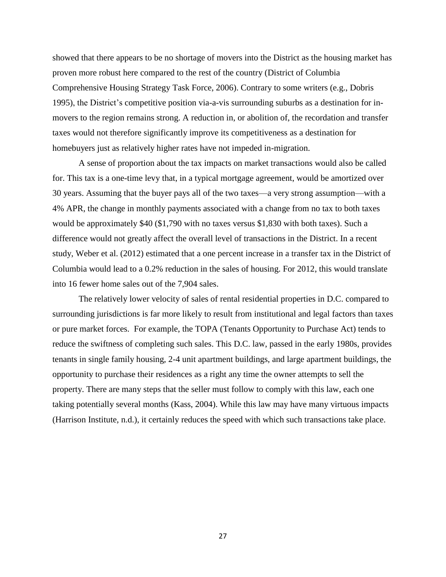showed that there appears to be no shortage of movers into the District as the housing market has proven more robust here compared to the rest of the country (District of Columbia Comprehensive Housing Strategy Task Force, 2006). Contrary to some writers (e.g., Dobris 1995), the District's competitive position via-a-vis surrounding suburbs as a destination for inmovers to the region remains strong. A reduction in, or abolition of, the recordation and transfer taxes would not therefore significantly improve its competitiveness as a destination for homebuyers just as relatively higher rates have not impeded in-migration.

A sense of proportion about the tax impacts on market transactions would also be called for. This tax is a one-time levy that, in a typical mortgage agreement, would be amortized over 30 years. Assuming that the buyer pays all of the two taxes—a very strong assumption—with a 4% APR, the change in monthly payments associated with a change from no tax to both taxes would be approximately \$40 (\$1,790 with no taxes versus \$1,830 with both taxes). Such a difference would not greatly affect the overall level of transactions in the District. In a recent study, Weber et al. (2012) estimated that a one percent increase in a transfer tax in the District of Columbia would lead to a 0.2% reduction in the sales of housing. For 2012, this would translate into 16 fewer home sales out of the 7,904 sales.

The relatively lower velocity of sales of rental residential properties in D.C. compared to surrounding jurisdictions is far more likely to result from institutional and legal factors than taxes or pure market forces. For example, the TOPA (Tenants Opportunity to Purchase Act) tends to reduce the swiftness of completing such sales. This D.C. law, passed in the early 1980s, provides tenants in single family housing, 2-4 unit apartment buildings, and large apartment buildings, the opportunity to purchase their residences as a right any time the owner attempts to sell the property. There are many steps that the seller must follow to comply with this law, each one taking potentially several months (Kass, 2004). While this law may have many virtuous impacts (Harrison Institute, n.d.), it certainly reduces the speed with which such transactions take place.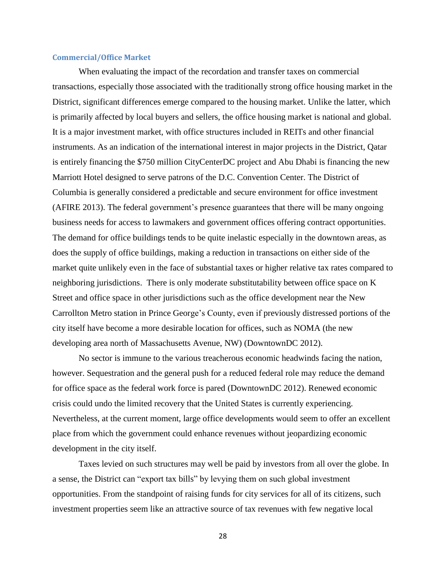#### <span id="page-28-0"></span>**Commercial/Office Market**

When evaluating the impact of the recordation and transfer taxes on commercial transactions, especially those associated with the traditionally strong office housing market in the District, significant differences emerge compared to the housing market. Unlike the latter, which is primarily affected by local buyers and sellers, the office housing market is national and global. It is a major investment market, with office structures included in REITs and other financial instruments. As an indication of the international interest in major projects in the District, Qatar is entirely financing the \$750 million CityCenterDC project and Abu Dhabi is financing the new Marriott Hotel designed to serve patrons of the D.C. Convention Center. The District of Columbia is generally considered a predictable and secure environment for office investment (AFIRE 2013). The federal government's presence guarantees that there will be many ongoing business needs for access to lawmakers and government offices offering contract opportunities. The demand for office buildings tends to be quite inelastic especially in the downtown areas, as does the supply of office buildings, making a reduction in transactions on either side of the market quite unlikely even in the face of substantial taxes or higher relative tax rates compared to neighboring jurisdictions. There is only moderate substitutability between office space on K Street and office space in other jurisdictions such as the office development near the New Carrollton Metro station in Prince George's County, even if previously distressed portions of the city itself have become a more desirable location for offices, such as NOMA (the new developing area north of Massachusetts Avenue, NW) (DowntownDC 2012).

No sector is immune to the various treacherous economic headwinds facing the nation, however. Sequestration and the general push for a reduced federal role may reduce the demand for office space as the federal work force is pared (DowntownDC 2012). Renewed economic crisis could undo the limited recovery that the United States is currently experiencing. Nevertheless, at the current moment, large office developments would seem to offer an excellent place from which the government could enhance revenues without jeopardizing economic development in the city itself.

Taxes levied on such structures may well be paid by investors from all over the globe. In a sense, the District can "export tax bills" by levying them on such global investment opportunities. From the standpoint of raising funds for city services for all of its citizens, such investment properties seem like an attractive source of tax revenues with few negative local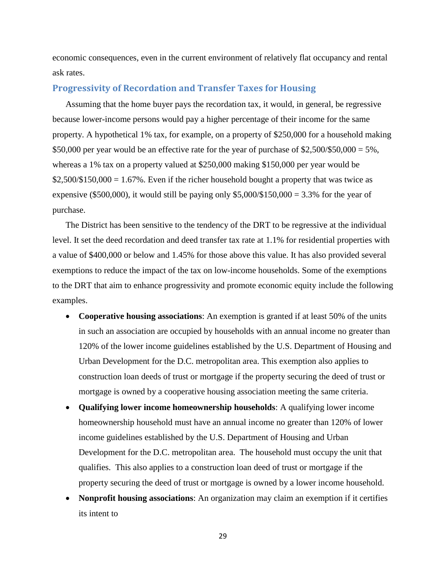economic consequences, even in the current environment of relatively flat occupancy and rental ask rates.

#### <span id="page-29-0"></span>**Progressivity of Recordation and Transfer Taxes for Housing**

Assuming that the home buyer pays the recordation tax, it would, in general, be regressive because lower-income persons would pay a higher percentage of their income for the same property. A hypothetical 1% tax, for example, on a property of \$250,000 for a household making \$50,000 per year would be an effective rate for the year of purchase of \$2,500/\$50,000 = 5%, whereas a 1% tax on a property valued at \$250,000 making \$150,000 per year would be  $$2,500/\$150,000 = 1.67\%$ . Even if the richer household bought a property that was twice as expensive (\$500,000), it would still be paying only  $$5,000/\$150,000 = 3.3\%$  for the year of purchase.

The District has been sensitive to the tendency of the DRT to be regressive at the individual level. It set the deed recordation and deed transfer tax rate at 1.1% for residential properties with a value of \$400,000 or below and 1.45% for those above this value. It has also provided several exemptions to reduce the impact of the tax on low-income households. Some of the exemptions to the DRT that aim to enhance progressivity and promote economic equity include the following examples.

- **Cooperative housing associations**: An exemption is granted if at least 50% of the units in such an association are occupied by households with an annual income no greater than 120% of the lower income guidelines established by the U.S. Department of Housing and Urban Development for the D.C. metropolitan area. This exemption also applies to construction loan deeds of trust or mortgage if the property securing the deed of trust or mortgage is owned by a cooperative housing association meeting the same criteria.
- **Qualifying lower income homeownership households**: A qualifying lower income homeownership household must have an annual income no greater than 120% of lower income guidelines established by the U.S. Department of Housing and Urban Development for the D.C. metropolitan area. The household must occupy the unit that qualifies. This also applies to a construction loan deed of trust or mortgage if the property securing the deed of trust or mortgage is owned by a lower income household.
- **Nonprofit housing associations**: An organization may claim an exemption if it certifies its intent to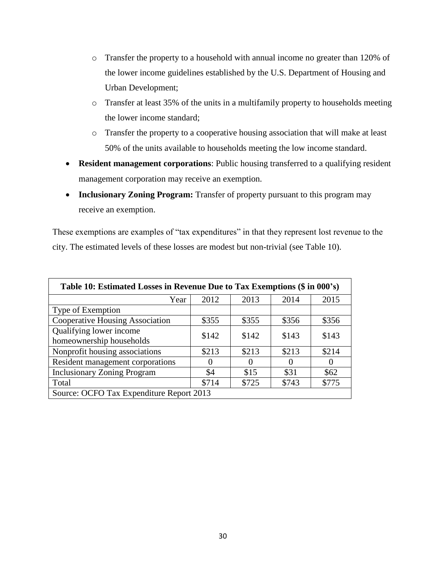- o Transfer the property to a household with annual income no greater than 120% of the lower income guidelines established by the U.S. Department of Housing and Urban Development;
- o Transfer at least 35% of the units in a multifamily property to households meeting the lower income standard;
- o Transfer the property to a cooperative housing association that will make at least 50% of the units available to households meeting the low income standard.
- **Resident management corporations**: Public housing transferred to a qualifying resident management corporation may receive an exemption.
- **Inclusionary Zoning Program:** Transfer of property pursuant to this program may receive an exemption.

These exemptions are examples of "tax expenditures" in that they represent lost revenue to the city. The estimated levels of these losses are modest but non-trivial (see Table 10).

| Table 10: Estimated Losses in Revenue Due to Tax Exemptions (\$ in 000's) |       |          |          |          |  |
|---------------------------------------------------------------------------|-------|----------|----------|----------|--|
| Year                                                                      | 2012  | 2013     | 2014     | 2015     |  |
| Type of Exemption                                                         |       |          |          |          |  |
| Cooperative Housing Association                                           | \$355 | \$355    | \$356    | \$356    |  |
| Qualifying lower income<br>homeownership households                       | \$142 | \$142    | \$143    | \$143    |  |
| Nonprofit housing associations                                            | \$213 | \$213    | \$213    | \$214    |  |
| Resident management corporations                                          | 0     | $\theta$ | $\theta$ | $\theta$ |  |
| <b>Inclusionary Zoning Program</b>                                        | \$4   | \$15     | \$31     | \$62     |  |
| Total                                                                     | \$714 | \$725    | \$743    | \$775    |  |
| Source: OCFO Tax Expenditure Report 2013                                  |       |          |          |          |  |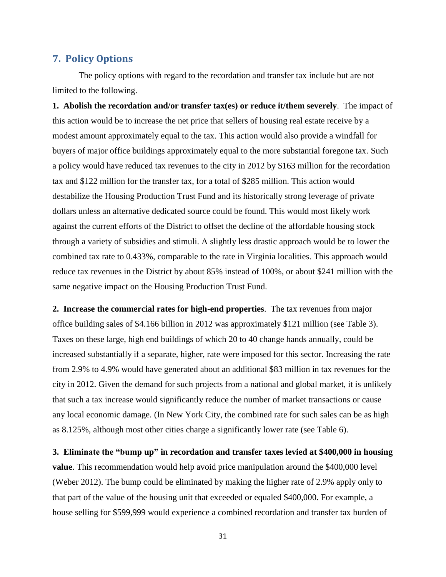#### <span id="page-31-0"></span>**7. Policy Options**

The policy options with regard to the recordation and transfer tax include but are not limited to the following.

**1. Abolish the recordation and/or transfer tax(es) or reduce it/them severely**. The impact of this action would be to increase the net price that sellers of housing real estate receive by a modest amount approximately equal to the tax. This action would also provide a windfall for buyers of major office buildings approximately equal to the more substantial foregone tax. Such a policy would have reduced tax revenues to the city in 2012 by \$163 million for the recordation tax and \$122 million for the transfer tax, for a total of \$285 million. This action would destabilize the Housing Production Trust Fund and its historically strong leverage of private dollars unless an alternative dedicated source could be found. This would most likely work against the current efforts of the District to offset the decline of the affordable housing stock through a variety of subsidies and stimuli. A slightly less drastic approach would be to lower the combined tax rate to 0.433%, comparable to the rate in Virginia localities. This approach would reduce tax revenues in the District by about 85% instead of 100%, or about \$241 million with the same negative impact on the Housing Production Trust Fund.

**2. Increase the commercial rates for high-end properties**. The tax revenues from major office building sales of \$4.166 billion in 2012 was approximately \$121 million (see Table 3). Taxes on these large, high end buildings of which 20 to 40 change hands annually, could be increased substantially if a separate, higher, rate were imposed for this sector. Increasing the rate from 2.9% to 4.9% would have generated about an additional \$83 million in tax revenues for the city in 2012. Given the demand for such projects from a national and global market, it is unlikely that such a tax increase would significantly reduce the number of market transactions or cause any local economic damage. (In New York City, the combined rate for such sales can be as high as 8.125%, although most other cities charge a significantly lower rate (see Table 6).

**3. Eliminate the "bump up" in recordation and transfer taxes levied at \$400,000 in housing value**. This recommendation would help avoid price manipulation around the \$400,000 level (Weber 2012). The bump could be eliminated by making the higher rate of 2.9% apply only to that part of the value of the housing unit that exceeded or equaled \$400,000. For example, a house selling for \$599,999 would experience a combined recordation and transfer tax burden of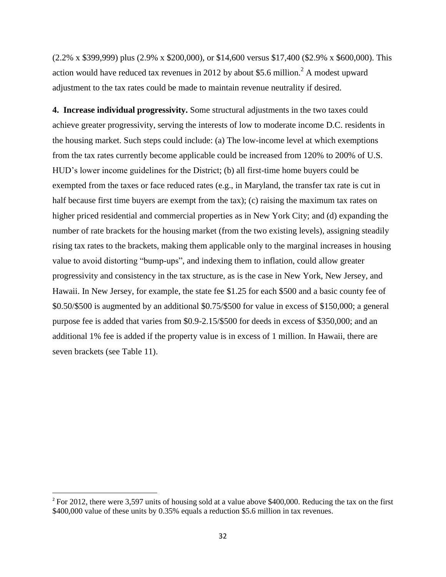(2.2% x \$399,999) plus (2.9% x \$200,000), or \$14,600 versus \$17,400 (\$2.9% x \$600,000). This action would have reduced tax revenues in 2012 by about \$5.6 million.<sup>2</sup> A modest upward adjustment to the tax rates could be made to maintain revenue neutrality if desired.

**4. Increase individual progressivity.** Some structural adjustments in the two taxes could achieve greater progressivity, serving the interests of low to moderate income D.C. residents in the housing market. Such steps could include: (a) The low-income level at which exemptions from the tax rates currently become applicable could be increased from 120% to 200% of U.S. HUD's lower income guidelines for the District; (b) all first-time home buyers could be exempted from the taxes or face reduced rates (e.g., in Maryland, the transfer tax rate is cut in half because first time buyers are exempt from the tax); (c) raising the maximum tax rates on higher priced residential and commercial properties as in New York City; and (d) expanding the number of rate brackets for the housing market (from the two existing levels), assigning steadily rising tax rates to the brackets, making them applicable only to the marginal increases in housing value to avoid distorting "bump-ups", and indexing them to inflation, could allow greater progressivity and consistency in the tax structure, as is the case in New York, New Jersey, and Hawaii. In New Jersey, for example, the state fee \$1.25 for each \$500 and a basic county fee of \$0.50/\$500 is augmented by an additional \$0.75/\$500 for value in excess of \$150,000; a general purpose fee is added that varies from \$0.9-2.15/\$500 for deeds in excess of \$350,000; and an additional 1% fee is added if the property value is in excess of 1 million. In Hawaii, there are seven brackets (see Table 11).

 $\overline{\phantom{a}}$ 

<sup>&</sup>lt;sup>2</sup> For 2012, there were 3,597 units of housing sold at a value above \$400,000. Reducing the tax on the first \$400,000 value of these units by 0.35% equals a reduction \$5.6 million in tax revenues.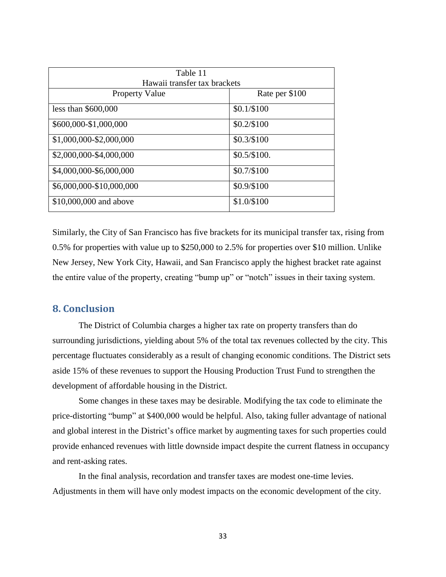| Table 11                     |                |
|------------------------------|----------------|
| Hawaii transfer tax brackets |                |
| <b>Property Value</b>        | Rate per \$100 |
| less than $$600,000$         | $$0.1/\$100$   |
| \$600,000-\$1,000,000        | $$0.2/\$100$   |
| \$1,000,000-\$2,000,000      | $$0.3/\$100$   |
| \$2,000,000-\$4,000,000      | $$0.5/\$100.$  |
| \$4,000,000-\$6,000,000      | $$0.7/\$100$   |
| \$6,000,000-\$10,000,000     | \$0.9/\$100    |
| \$10,000,000 and above       | \$1.0/\$100    |

Similarly, the City of San Francisco has five brackets for its municipal transfer tax, rising from 0.5% for properties with value up to \$250,000 to 2.5% for properties over \$10 million. Unlike New Jersey, New York City, Hawaii, and San Francisco apply the highest bracket rate against the entire value of the property, creating "bump up" or "notch" issues in their taxing system.

#### <span id="page-33-0"></span>**8. Conclusion**

The District of Columbia charges a higher tax rate on property transfers than do surrounding jurisdictions, yielding about 5% of the total tax revenues collected by the city. This percentage fluctuates considerably as a result of changing economic conditions. The District sets aside 15% of these revenues to support the Housing Production Trust Fund to strengthen the development of affordable housing in the District.

Some changes in these taxes may be desirable. Modifying the tax code to eliminate the price-distorting "bump" at \$400,000 would be helpful. Also, taking fuller advantage of national and global interest in the District's office market by augmenting taxes for such properties could provide enhanced revenues with little downside impact despite the current flatness in occupancy and rent-asking rates.

In the final analysis, recordation and transfer taxes are modest one-time levies. Adjustments in them will have only modest impacts on the economic development of the city.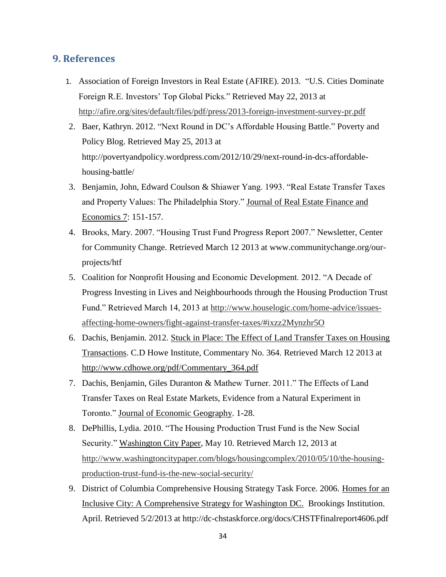## <span id="page-34-0"></span>**9. References**

- 1. Association of Foreign Investors in Real Estate (AFIRE). 2013. "U.S. Cities Dominate Foreign R.E. Investors' Top Global Picks." Retrieved May 22, 2013 at <http://afire.org/sites/default/files/pdf/press/2013-foreign-investment-survey-pr.pdf>
- 2. Baer, Kathryn. 2012. "Next Round in DC's Affordable Housing Battle." Poverty and Policy Blog. Retrieved May 25, 2013 at http://povertyandpolicy.wordpress.com/2012/10/29/next-round-in-dcs-affordablehousing-battle/
- 3. Benjamin, John, Edward Coulson & Shiawer Yang. 1993. "Real Estate Transfer Taxes and Property Values: The Philadelphia Story." Journal of Real Estate Finance and Economics 7: 151-157.
- 4. Brooks, Mary. 2007. "Housing Trust Fund Progress Report 2007." Newsletter, Center for Community Change. Retrieved March 12 2013 at [www.communitychange.org/our](http://www.communitychange.org/our-projects/htf)[projects/htf](http://www.communitychange.org/our-projects/htf)
- 5. Coalition for Nonprofit Housing and Economic Development. 2012. "A Decade of Progress Investing in Lives and Neighbourhoods through the Housing Production Trust Fund." Retrieved March 14, 2013 at [http://www.houselogic.com/home-advice/issues](http://www.houselogic.com/home-advice/issues-affecting-home-owners/fight-against-transfer-taxes/#ixzz2Mynzhr5O)[affecting-home-owners/fight-against-transfer-taxes/#ixzz2Mynzhr5O](http://www.houselogic.com/home-advice/issues-affecting-home-owners/fight-against-transfer-taxes/#ixzz2Mynzhr5O)
- 6. Dachis, Benjamin. 2012. Stuck in Place: The Effect of Land Transfer Taxes on Housing Transactions. C.D Howe Institute, Commentary No. 364. Retrieved March 12 2013 at [http://www.cdhowe.org/pdf/Commentary\\_364.pdf](http://www.cdhowe.org/pdf/Commentary_364.pdf)
- 7. Dachis, Benjamin, Giles Duranton & Mathew Turner. 2011." The Effects of Land Transfer Taxes on Real Estate Markets, Evidence from a Natural Experiment in Toronto.‖ Journal of Economic Geography. 1-28.
- 8. DePhillis, Lydia. 2010. "The Housing Production Trust Fund is the New Social Security." Washington City Paper, May 10. Retrieved March 12, 2013 at [http://www.washingtoncitypaper.com/blogs/housingcomplex/2010/05/10/the-housing](http://www.washingtoncitypaper.com/blogs/housingcomplex/2010/05/10/the-housing-production-trust-fund-is-the-new-social-security/)[production-trust-fund-is-the-new-social-security/](http://www.washingtoncitypaper.com/blogs/housingcomplex/2010/05/10/the-housing-production-trust-fund-is-the-new-social-security/)
- 9. District of Columbia Comprehensive Housing Strategy Task Force. 2006. Homes for an Inclusive City: A Comprehensive Strategy for Washington DC. Brookings Institution. April. Retrieved 5/2/2013 at http://dc-chstaskforce.org/docs/CHSTFfinalreport4606.pdf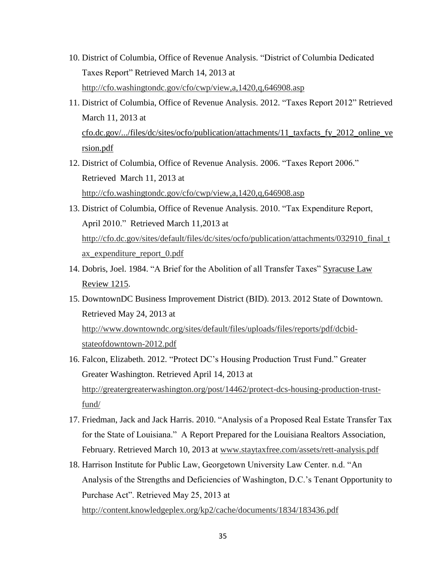- 10. District of Columbia, Office of Revenue Analysis. "District of Columbia Dedicated Taxes Report" Retrieved March 14, 2013 at <http://cfo.washingtondc.gov/cfo/cwp/view,a,1420,q,646908.asp>
- 11. District of Columbia, Office of Revenue Analysis. 2012. "Taxes Report 2012" Retrieved March 11, 2013 at cfo.dc.gov/.../files/dc/sites/ocfo/publication/attachments/11\_taxfacts\_fy\_2012\_online\_ve rsion.pdf
- 12. District of Columbia, Office of Revenue Analysis. 2006. "Taxes Report 2006." Retrieved March 11, 2013 at <http://cfo.washingtondc.gov/cfo/cwp/view,a,1420,q,646908.asp>
- 13. District of Columbia, Office of Revenue Analysis. 2010. "Tax Expenditure Report, April 2010." Retrieved March 11,2013 at [http://cfo.dc.gov/sites/default/files/dc/sites/ocfo/publication/attachments/032910\\_final\\_t](http://cfo.dc.gov/sites/default/files/dc/sites/ocfo/publication/attachments/032910_final_tax_expenditure_report_0.pdf) [ax\\_expenditure\\_report\\_0.pdf](http://cfo.dc.gov/sites/default/files/dc/sites/ocfo/publication/attachments/032910_final_tax_expenditure_report_0.pdf)
- 14. Dobris, Joel. 1984. "A Brief for the Abolition of all Transfer Taxes" Syracuse Law Review 1215.
- 15. DowntownDC Business Improvement District (BID). 2013. 2012 State of Downtown. Retrieved May 24, 2013 at [http://www.downtowndc.org/sites/default/files/uploads/files/reports/pdf/dcbid](http://www.downtowndc.org/sites/default/files/uploads/files/reports/pdf/dcbid-stateofdowntown-2012.pdf)[stateofdowntown-2012.pdf](http://www.downtowndc.org/sites/default/files/uploads/files/reports/pdf/dcbid-stateofdowntown-2012.pdf)
- 16. Falcon, Elizabeth. 2012. "Protect DC's Housing Production Trust Fund." Greater Greater Washington. Retrieved April 14, 2013 at [http://greatergreaterwashington.org/post/14462/protect-dcs-housing-production-trust](http://greatergreaterwashington.org/post/14462/protect-dcs-housing-production-trust-fund/)[fund/](http://greatergreaterwashington.org/post/14462/protect-dcs-housing-production-trust-fund/)
- 17. Friedman, Jack and Jack Harris. 2010. "Analysis of a Proposed Real Estate Transfer Tax for the State of Louisiana." A Report Prepared for the Louisiana Realtors Association, February. Retrieved March 10, 2013 at [www.staytaxfree.com/assets/rett-analysis.pdf](http://www.staytaxfree.com/assets/rett-analysis.pdf)
- 18. Harrison Institute for Public Law, Georgetown University Law Center. n.d. "An Analysis of the Strengths and Deficiencies of Washington, D.C.'s Tenant Opportunity to Purchase Act". Retrieved May 25, 2013 at <http://content.knowledgeplex.org/kp2/cache/documents/1834/183436.pdf>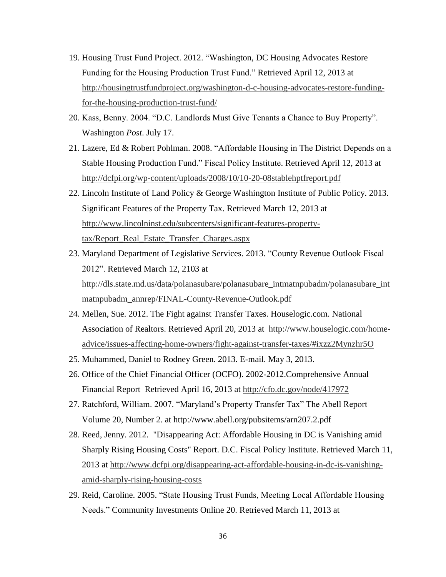- 19. Housing Trust Fund Project. 2012. "Washington, DC Housing Advocates Restore Funding for the Housing Production Trust Fund." Retrieved April 12, 2013 at [http://housingtrustfundproject.org/washington-d-c-housing-advocates-restore-funding](http://housingtrustfundproject.org/washington-d-c-housing-advocates-restore-funding-for-the-housing-production-trust-fund/)[for-the-housing-production-trust-fund/](http://housingtrustfundproject.org/washington-d-c-housing-advocates-restore-funding-for-the-housing-production-trust-fund/)
- 20. Kass, Benny. 2004. "D.C. Landlords Must Give Tenants a Chance to Buy Property". Washington *Post*. July 17.
- 21. Lazere, Ed & Robert Pohlman. 2008. "Affordable Housing in The District Depends on a Stable Housing Production Fund.‖ Fiscal Policy Institute. Retrieved April 12, 2013 at <http://dcfpi.org/wp-content/uploads/2008/10/10-20-08stablehptfreport.pdf>
- 22. Lincoln Institute of Land Policy & George Washington Institute of Public Policy. 2013. Significant Features of the Property Tax. Retrieved March 12, 2013 at [http://www.lincolninst.edu/subcenters/significant-features-property](http://www.lincolninst.edu/subcenters/significant-features-property-tax/Report_Real_Estate_Transfer_Charges.aspx)[tax/Report\\_Real\\_Estate\\_Transfer\\_Charges.aspx](http://www.lincolninst.edu/subcenters/significant-features-property-tax/Report_Real_Estate_Transfer_Charges.aspx)
- 23. Maryland Department of Legislative Services. 2013. "County Revenue Outlook Fiscal 2012". Retrieved March 12, 2103 at [http://dls.state.md.us/data/polanasubare/polanasubare\\_intmatnpubadm/polanasubare\\_int](http://dls.state.md.us/data/polanasubare/polanasubare_intmatnpubadm/polanasubare_intmatnpubadm_annrep/FINAL-County-Revenue-Outlook.pdf) [matnpubadm\\_annrep/FINAL-County-Revenue-Outlook.pdf](http://dls.state.md.us/data/polanasubare/polanasubare_intmatnpubadm/polanasubare_intmatnpubadm_annrep/FINAL-County-Revenue-Outlook.pdf)
- 24. Mellen, Sue. 2012. The Fight against Transfer Taxes. Houselogic.com. National Association of Realtors. Retrieved April 20, 2013 at [http://www.houselogic.com/home](http://www.houselogic.com/home-advice/issues-affecting-home-owners/fight-against-transfer-taxes/#ixzz2Mynzhr5O)[advice/issues-affecting-home-owners/fight-against-transfer-taxes/#ixzz2Mynzhr5O](http://www.houselogic.com/home-advice/issues-affecting-home-owners/fight-against-transfer-taxes/#ixzz2Mynzhr5O)
- 25. Muhammed, Daniel to Rodney Green. 2013. E-mail. May 3, 2013.
- 26. Office of the Chief Financial Officer (OCFO). 2002-2012.Comprehensive Annual Financial Report Retrieved April 16, 2013 at<http://cfo.dc.gov/node/417972>
- 27. Ratchford, William. 2007. "Maryland's Property Transfer Tax" The Abell Report Volume 20, Number 2. at http://www.abell.org/pubsitems/arn207.2.pdf
- 28. Reed, Jenny. 2012. "Disappearing Act: Affordable Housing in DC is Vanishing amid Sharply Rising Housing Costs" Report. D.C. Fiscal Policy Institute. Retrieved March 11, 2013 at [http://www.dcfpi.org/disappearing-act-affordable-housing-in-dc-is-vanishing](http://www.dcfpi.org/disappearing-act-affordable-housing-in-dc-is-vanishing-amid-sharply-rising-housing-costs)[amid-sharply-rising-housing-costs](http://www.dcfpi.org/disappearing-act-affordable-housing-in-dc-is-vanishing-amid-sharply-rising-housing-costs)
- 29. Reid, Caroline. 2005. "State Housing Trust Funds, Meeting Local Affordable Housing Needs." Community Investments Online 20. Retrieved March 11, 2013 at